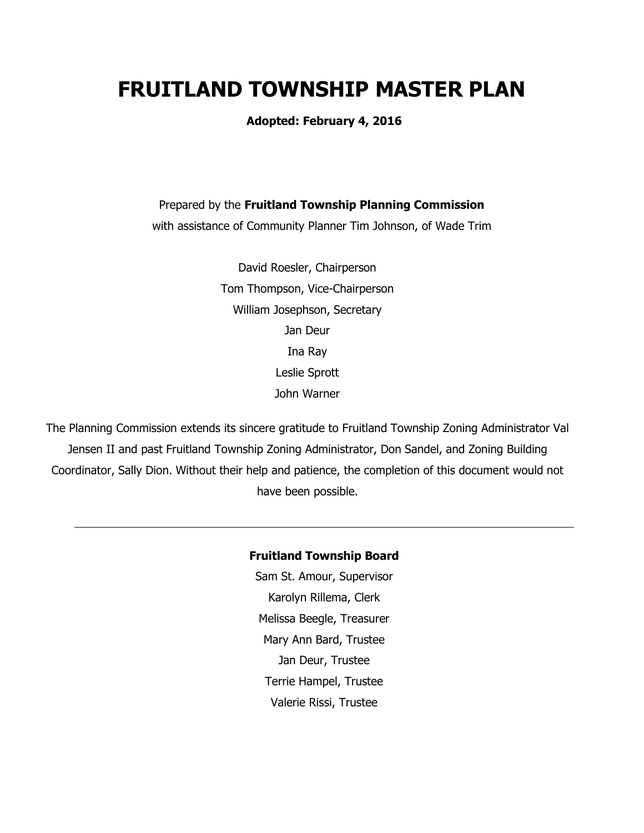# **FRUITLAND TOWNSHIP MASTER PLAN**

**Adopted: February 4, 2016**

Prepared by the **Fruitland Township Planning Commission**

with assistance of Community Planner Tim Johnson, of Wade Trim

David Roesler, Chairperson Tom Thompson, Vice-Chairperson William Josephson, Secretary Jan Deur Ina Ray Leslie Sprott John Warner

The Planning Commission extends its sincere gratitude to Fruitland Township Zoning Administrator Val Jensen II and past Fruitland Township Zoning Administrator, Don Sandel, and Zoning Building Coordinator, Sally Dion. Without their help and patience, the completion of this document would not have been possible.

#### **Fruitland Township Board**

Sam St. Amour, Supervisor Karolyn Rillema, Clerk Melissa Beegle, Treasurer Mary Ann Bard, Trustee Jan Deur, Trustee Terrie Hampel, Trustee Valerie Rissi, Trustee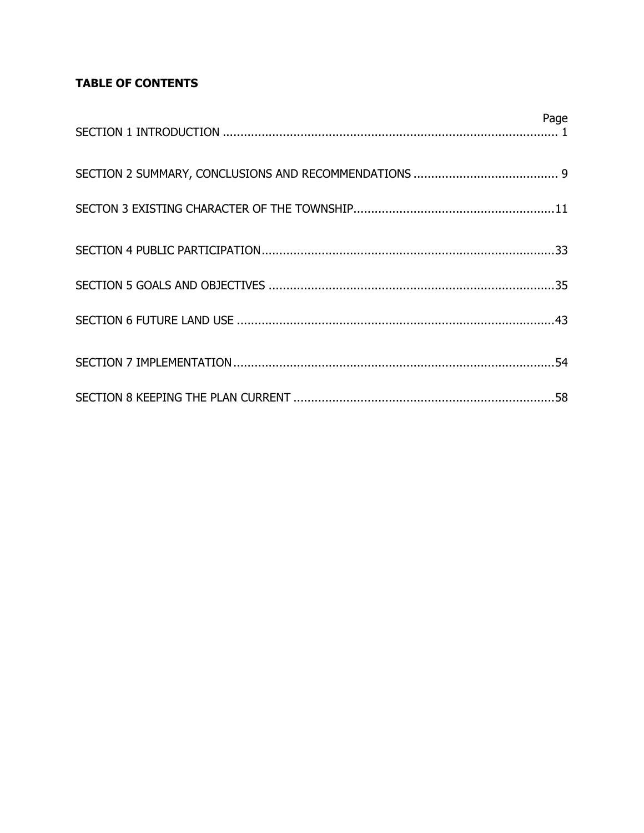## **TABLE OF CONTENTS**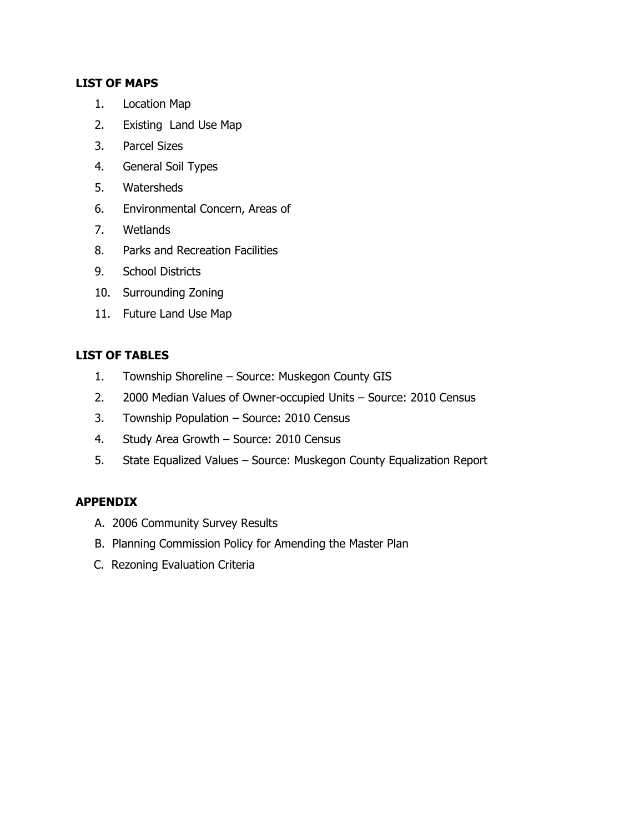## **LIST OF MAPS**

- 1. Location Map
- 2. Existing Land Use Map
- 3. Parcel Sizes
- 4. General Soil Types
- 5. Watersheds
- 6. Environmental Concern, Areas of
- 7. Wetlands
- 8. Parks and Recreation Facilities
- 9. School Districts
- 10. Surrounding Zoning
- 11. Future Land Use Map

## **LIST OF TABLES**

- 1. Township Shoreline Source: Muskegon County GIS
- 2. 2000 Median Values of Owner-occupied Units Source: 2010 Census
- 3. Township Population Source: 2010 Census
- 4. Study Area Growth Source: 2010 Census
- 5. State Equalized Values Source: Muskegon County Equalization Report

## **APPENDIX**

- A. 2006 Community Survey Results
- B. Planning Commission Policy for Amending the Master Plan
- C. Rezoning Evaluation Criteria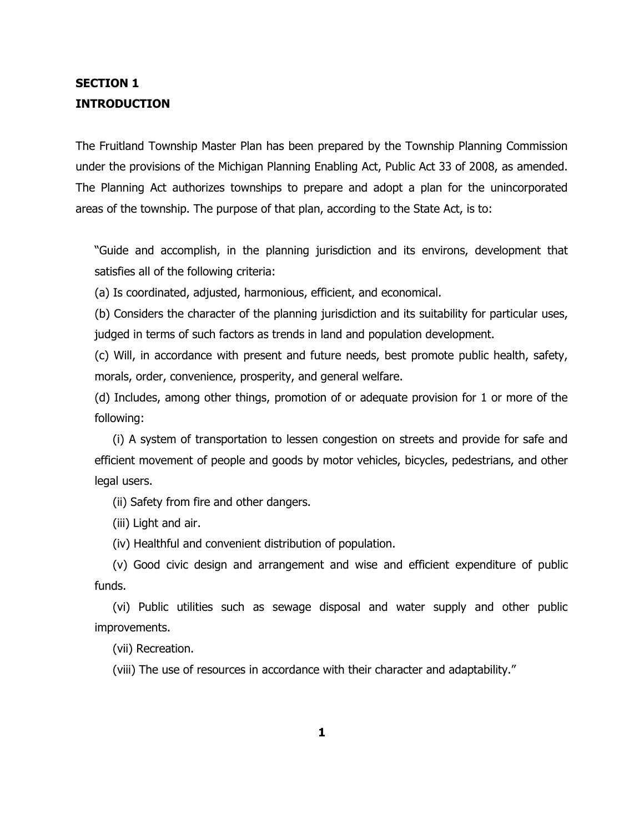## **SECTION 1 INTRODUCTION**

The Fruitland Township Master Plan has been prepared by the Township Planning Commission under the provisions of the Michigan Planning Enabling Act, Public Act 33 of 2008, as amended. The Planning Act authorizes townships to prepare and adopt a plan for the unincorporated areas of the township. The purpose of that plan, according to the State Act, is to:

"Guide and accomplish, in the planning jurisdiction and its environs, development that satisfies all of the following criteria:

(a) Is coordinated, adjusted, harmonious, efficient, and economical.

(b) Considers the character of the planning jurisdiction and its suitability for particular uses, judged in terms of such factors as trends in land and population development.

(c) Will, in accordance with present and future needs, best promote public health, safety, morals, order, convenience, prosperity, and general welfare.

(d) Includes, among other things, promotion of or adequate provision for 1 or more of the following:

 (i) A system of transportation to lessen congestion on streets and provide for safe and efficient movement of people and goods by motor vehicles, bicycles, pedestrians, and other legal users.

(ii) Safety from fire and other dangers.

(iii) Light and air.

(iv) Healthful and convenient distribution of population.

 (v) Good civic design and arrangement and wise and efficient expenditure of public funds.

 (vi) Public utilities such as sewage disposal and water supply and other public improvements.

(vii) Recreation.

(viii) The use of resources in accordance with their character and adaptability."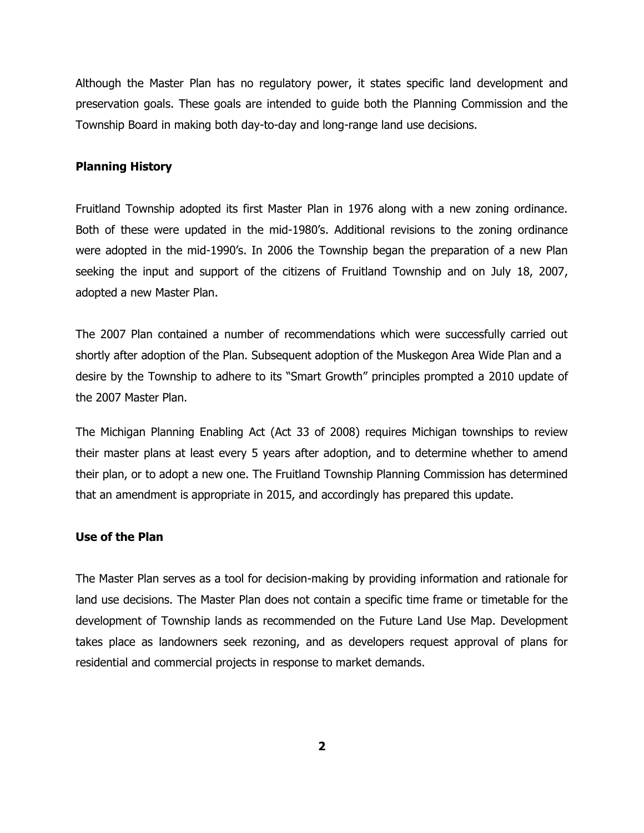Although the Master Plan has no regulatory power, it states specific land development and preservation goals. These goals are intended to guide both the Planning Commission and the Township Board in making both day-to-day and long-range land use decisions.

#### **Planning History**

Fruitland Township adopted its first Master Plan in 1976 along with a new zoning ordinance. Both of these were updated in the mid-1980's. Additional revisions to the zoning ordinance were adopted in the mid-1990's. In 2006 the Township began the preparation of a new Plan seeking the input and support of the citizens of Fruitland Township and on July 18, 2007, adopted a new Master Plan.

The 2007 Plan contained a number of recommendations which were successfully carried out shortly after adoption of the Plan. Subsequent adoption of the Muskegon Area Wide Plan and a desire by the Township to adhere to its "Smart Growth" principles prompted a 2010 update of the 2007 Master Plan.

The Michigan Planning Enabling Act (Act 33 of 2008) requires Michigan townships to review their master plans at least every 5 years after adoption, and to determine whether to amend their plan, or to adopt a new one. The Fruitland Township Planning Commission has determined that an amendment is appropriate in 2015, and accordingly has prepared this update.

#### **Use of the Plan**

The Master Plan serves as a tool for decision-making by providing information and rationale for land use decisions. The Master Plan does not contain a specific time frame or timetable for the development of Township lands as recommended on the Future Land Use Map. Development takes place as landowners seek rezoning, and as developers request approval of plans for residential and commercial projects in response to market demands.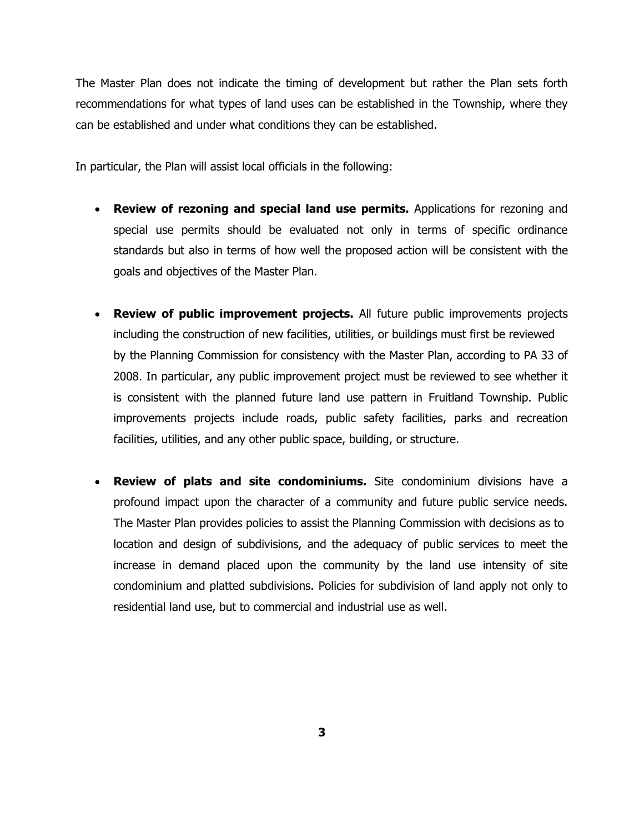The Master Plan does not indicate the timing of development but rather the Plan sets forth recommendations for what types of land uses can be established in the Township, where they can be established and under what conditions they can be established.

In particular, the Plan will assist local officials in the following:

- **Review of rezoning and special land use permits.** Applications for rezoning and special use permits should be evaluated not only in terms of specific ordinance standards but also in terms of how well the proposed action will be consistent with the goals and objectives of the Master Plan.
- **Review of public improvement projects.** All future public improvements projects including the construction of new facilities, utilities, or buildings must first be reviewed by the Planning Commission for consistency with the Master Plan, according to PA 33 of 2008. In particular, any public improvement project must be reviewed to see whether it is consistent with the planned future land use pattern in Fruitland Township. Public improvements projects include roads, public safety facilities, parks and recreation facilities, utilities, and any other public space, building, or structure.
- **Review of plats and site condominiums.** Site condominium divisions have a profound impact upon the character of a community and future public service needs. The Master Plan provides policies to assist the Planning Commission with decisions as to location and design of subdivisions, and the adequacy of public services to meet the increase in demand placed upon the community by the land use intensity of site condominium and platted subdivisions. Policies for subdivision of land apply not only to residential land use, but to commercial and industrial use as well.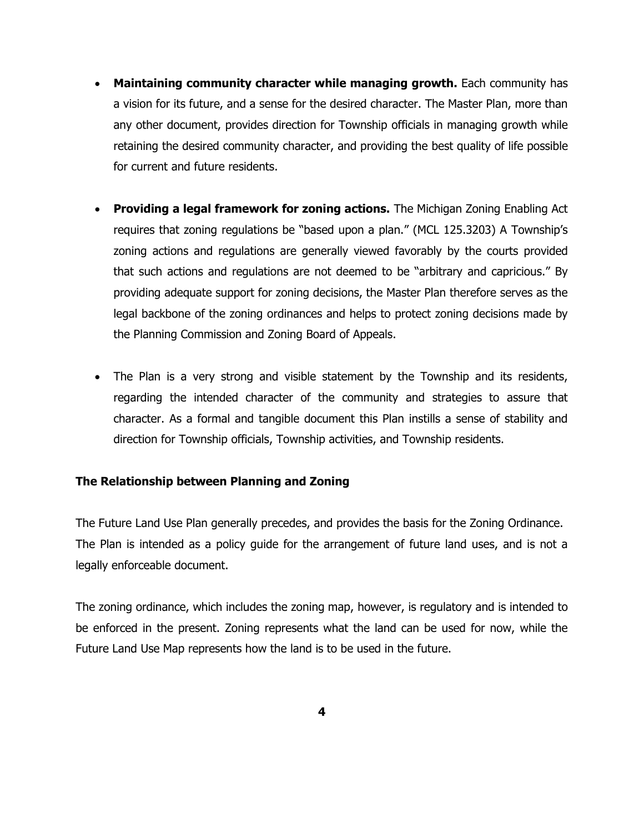- **Maintaining community character while managing growth.** Each community has a vision for its future, and a sense for the desired character. The Master Plan, more than any other document, provides direction for Township officials in managing growth while retaining the desired community character, and providing the best quality of life possible for current and future residents.
- **Providing a legal framework for zoning actions.** The Michigan Zoning Enabling Act requires that zoning regulations be "based upon a plan." (MCL 125.3203) A Township's zoning actions and regulations are generally viewed favorably by the courts provided that such actions and regulations are not deemed to be "arbitrary and capricious." By providing adequate support for zoning decisions, the Master Plan therefore serves as the legal backbone of the zoning ordinances and helps to protect zoning decisions made by the Planning Commission and Zoning Board of Appeals.
- The Plan is a very strong and visible statement by the Township and its residents, regarding the intended character of the community and strategies to assure that character. As a formal and tangible document this Plan instills a sense of stability and direction for Township officials, Township activities, and Township residents.

## **The Relationship between Planning and Zoning**

The Future Land Use Plan generally precedes, and provides the basis for the Zoning Ordinance. The Plan is intended as a policy guide for the arrangement of future land uses, and is not a legally enforceable document.

The zoning ordinance, which includes the zoning map, however, is regulatory and is intended to be enforced in the present. Zoning represents what the land can be used for now, while the Future Land Use Map represents how the land is to be used in the future.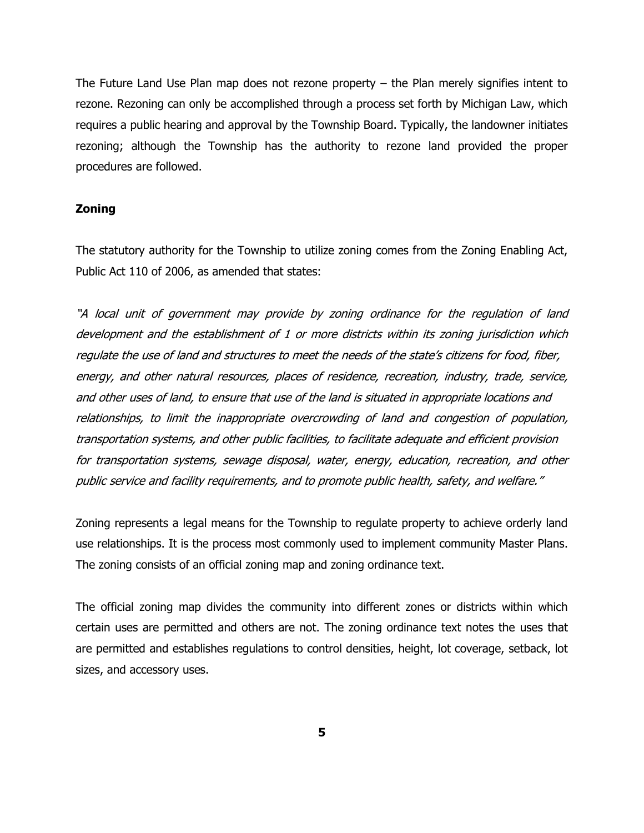The Future Land Use Plan map does not rezone property – the Plan merely signifies intent to rezone. Rezoning can only be accomplished through a process set forth by Michigan Law, which requires a public hearing and approval by the Township Board. Typically, the landowner initiates rezoning; although the Township has the authority to rezone land provided the proper procedures are followed.

### **Zoning**

The statutory authority for the Township to utilize zoning comes from the Zoning Enabling Act, Public Act 110 of 2006, as amended that states:

"A local unit of government may provide by zoning ordinance for the regulation of land development and the establishment of 1 or more districts within its zoning jurisdiction which regulate the use of land and structures to meet the needs of the state's citizens for food, fiber, energy, and other natural resources, places of residence, recreation, industry, trade, service, and other uses of land, to ensure that use of the land is situated in appropriate locations and relationships, to limit the inappropriate overcrowding of land and congestion of population, transportation systems, and other public facilities, to facilitate adequate and efficient provision for transportation systems, sewage disposal, water, energy, education, recreation, and other public service and facility requirements, and to promote public health, safety, and welfare."

Zoning represents a legal means for the Township to regulate property to achieve orderly land use relationships. It is the process most commonly used to implement community Master Plans. The zoning consists of an official zoning map and zoning ordinance text.

The official zoning map divides the community into different zones or districts within which certain uses are permitted and others are not. The zoning ordinance text notes the uses that are permitted and establishes regulations to control densities, height, lot coverage, setback, lot sizes, and accessory uses.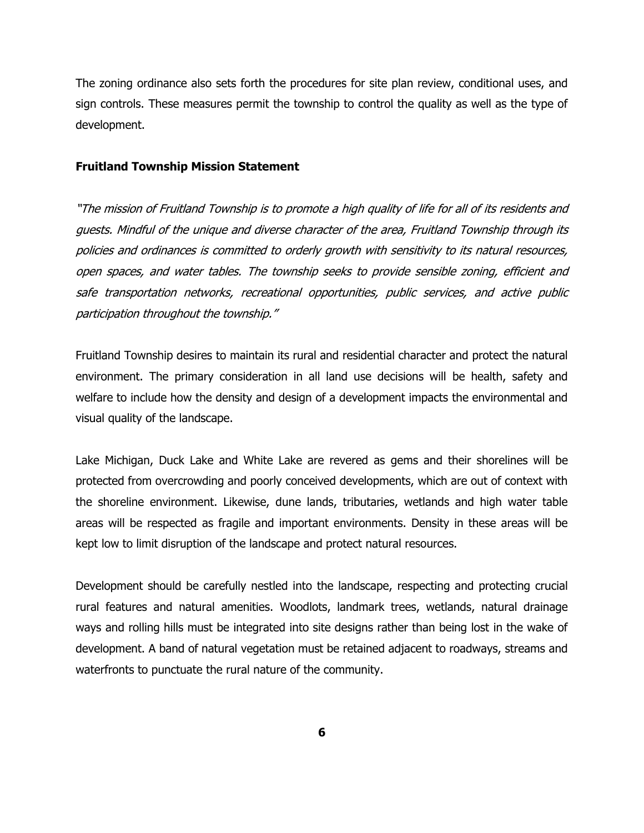The zoning ordinance also sets forth the procedures for site plan review, conditional uses, and sign controls. These measures permit the township to control the quality as well as the type of development.

#### **Fruitland Township Mission Statement**

"The mission of Fruitland Township is to promote a high quality of life for all of its residents and guests. Mindful of the unique and diverse character of the area, Fruitland Township through its policies and ordinances is committed to orderly growth with sensitivity to its natural resources, open spaces, and water tables. The township seeks to provide sensible zoning, efficient and safe transportation networks, recreational opportunities, public services, and active public participation throughout the township."

Fruitland Township desires to maintain its rural and residential character and protect the natural environment. The primary consideration in all land use decisions will be health, safety and welfare to include how the density and design of a development impacts the environmental and visual quality of the landscape.

Lake Michigan, Duck Lake and White Lake are revered as gems and their shorelines will be protected from overcrowding and poorly conceived developments, which are out of context with the shoreline environment. Likewise, dune lands, tributaries, wetlands and high water table areas will be respected as fragile and important environments. Density in these areas will be kept low to limit disruption of the landscape and protect natural resources.

Development should be carefully nestled into the landscape, respecting and protecting crucial rural features and natural amenities. Woodlots, landmark trees, wetlands, natural drainage ways and rolling hills must be integrated into site designs rather than being lost in the wake of development. A band of natural vegetation must be retained adjacent to roadways, streams and waterfronts to punctuate the rural nature of the community.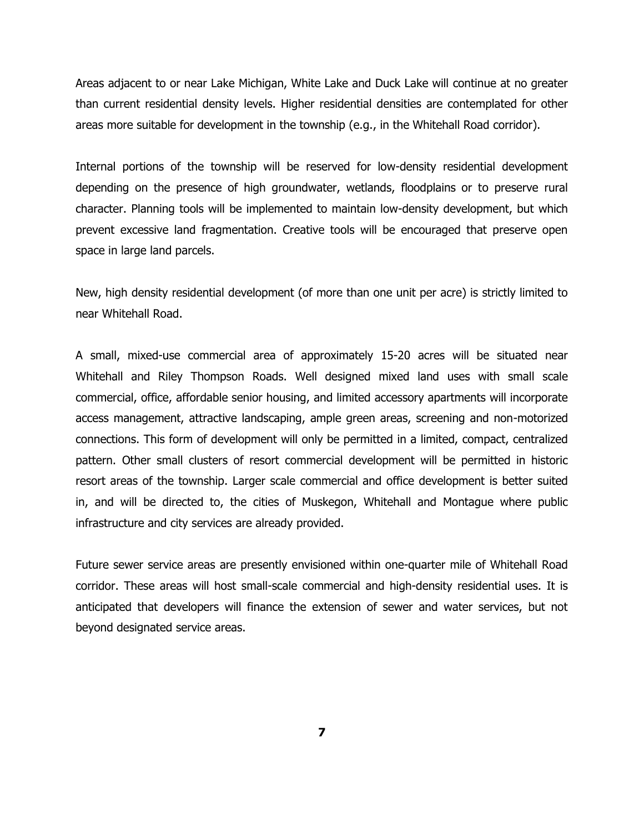Areas adjacent to or near Lake Michigan, White Lake and Duck Lake will continue at no greater than current residential density levels. Higher residential densities are contemplated for other areas more suitable for development in the township (e.g., in the Whitehall Road corridor).

Internal portions of the township will be reserved for low-density residential development depending on the presence of high groundwater, wetlands, floodplains or to preserve rural character. Planning tools will be implemented to maintain low-density development, but which prevent excessive land fragmentation. Creative tools will be encouraged that preserve open space in large land parcels.

New, high density residential development (of more than one unit per acre) is strictly limited to near Whitehall Road.

A small, mixed-use commercial area of approximately 15-20 acres will be situated near Whitehall and Riley Thompson Roads. Well designed mixed land uses with small scale commercial, office, affordable senior housing, and limited accessory apartments will incorporate access management, attractive landscaping, ample green areas, screening and non-motorized connections. This form of development will only be permitted in a limited, compact, centralized pattern. Other small clusters of resort commercial development will be permitted in historic resort areas of the township. Larger scale commercial and office development is better suited in, and will be directed to, the cities of Muskegon, Whitehall and Montague where public infrastructure and city services are already provided.

Future sewer service areas are presently envisioned within one-quarter mile of Whitehall Road corridor. These areas will host small-scale commercial and high-density residential uses. It is anticipated that developers will finance the extension of sewer and water services, but not beyond designated service areas.

**7**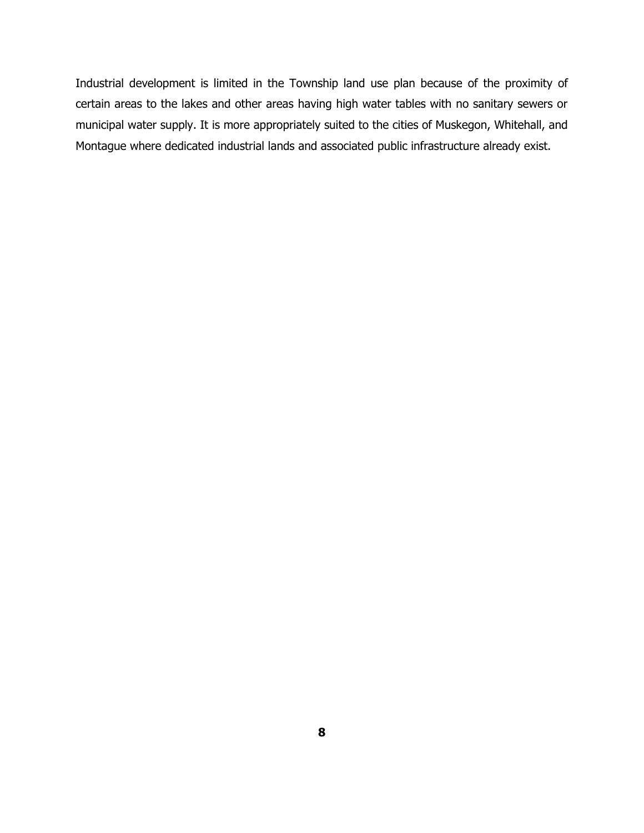Industrial development is limited in the Township land use plan because of the proximity of certain areas to the lakes and other areas having high water tables with no sanitary sewers or municipal water supply. It is more appropriately suited to the cities of Muskegon, Whitehall, and Montague where dedicated industrial lands and associated public infrastructure already exist.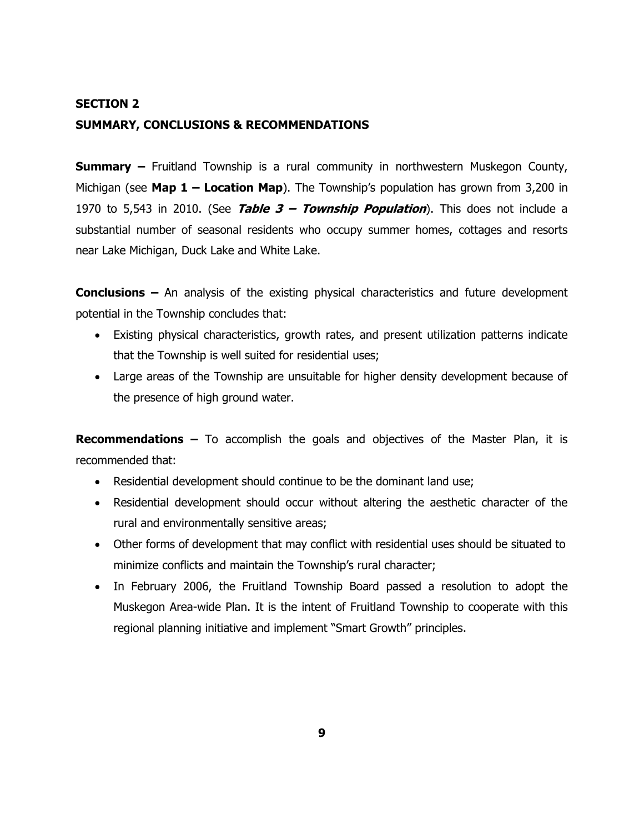## **SECTION 2 SUMMARY, CONCLUSIONS & RECOMMENDATIONS**

**Summary –** Fruitland Township is a rural community in northwestern Muskegon County, Michigan (see **Map 1 – Location Map**). The Township's population has grown from 3,200 in 1970 to 5,543 in 2010. (See **Table 3 – Township Population**). This does not include a substantial number of seasonal residents who occupy summer homes, cottages and resorts near Lake Michigan, Duck Lake and White Lake.

**Conclusions –** An analysis of the existing physical characteristics and future development potential in the Township concludes that:

- Existing physical characteristics, growth rates, and present utilization patterns indicate that the Township is well suited for residential uses;
- Large areas of the Township are unsuitable for higher density development because of the presence of high ground water.

**Recommendations –** To accomplish the goals and objectives of the Master Plan, it is recommended that:

- Residential development should continue to be the dominant land use;
- Residential development should occur without altering the aesthetic character of the rural and environmentally sensitive areas;
- Other forms of development that may conflict with residential uses should be situated to minimize conflicts and maintain the Township's rural character;
- In February 2006, the Fruitland Township Board passed a resolution to adopt the Muskegon Area-wide Plan. It is the intent of Fruitland Township to cooperate with this regional planning initiative and implement "Smart Growth" principles.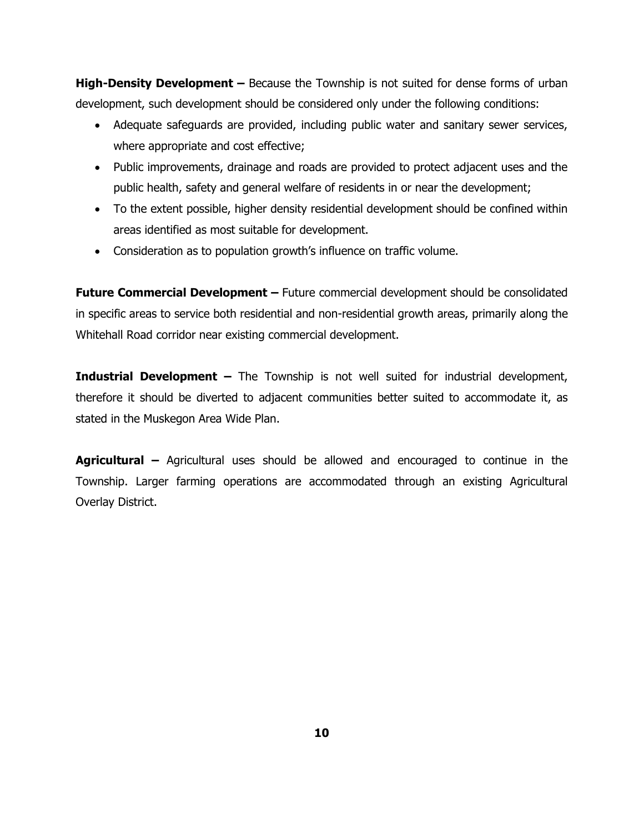**High-Density Development –** Because the Township is not suited for dense forms of urban development, such development should be considered only under the following conditions:

- Adequate safeguards are provided, including public water and sanitary sewer services, where appropriate and cost effective;
- Public improvements, drainage and roads are provided to protect adjacent uses and the public health, safety and general welfare of residents in or near the development;
- To the extent possible, higher density residential development should be confined within areas identified as most suitable for development.
- Consideration as to population growth's influence on traffic volume.

**Future Commercial Development –** Future commercial development should be consolidated in specific areas to service both residential and non-residential growth areas, primarily along the Whitehall Road corridor near existing commercial development.

**Industrial Development –** The Township is not well suited for industrial development, therefore it should be diverted to adjacent communities better suited to accommodate it, as stated in the Muskegon Area Wide Plan.

**Agricultural –** Agricultural uses should be allowed and encouraged to continue in the Township. Larger farming operations are accommodated through an existing Agricultural Overlay District.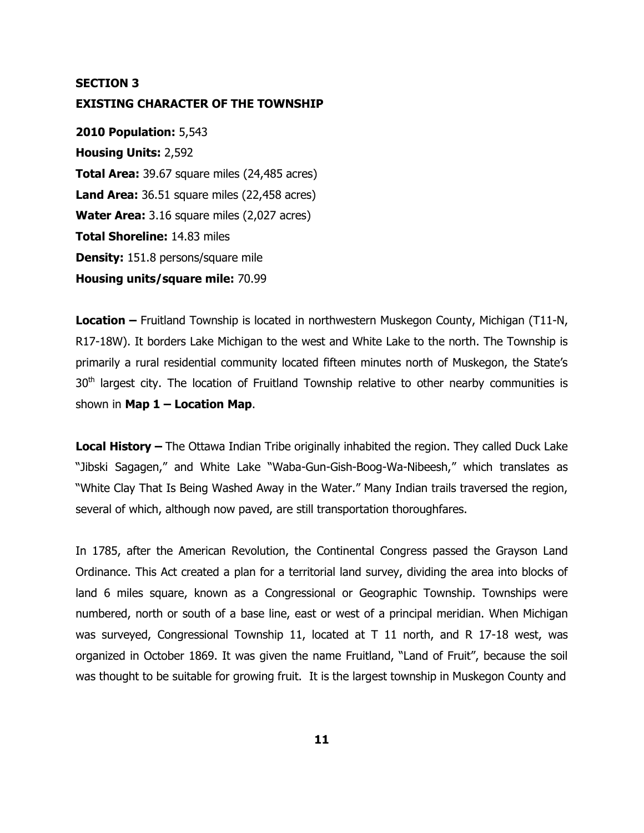## **SECTION 3 EXISTING CHARACTER OF THE TOWNSHIP**

**2010 Population:** 5,543 **Housing Units:** 2,592 **Total Area:** 39.67 square miles (24,485 acres) **Land Area:** 36.51 square miles (22,458 acres) **Water Area:** 3.16 square miles (2,027 acres) **Total Shoreline:** 14.83 miles **Density:** 151.8 persons/square mile **Housing units/square mile:** 70.99

**Location –** Fruitland Township is located in northwestern Muskegon County, Michigan (T11-N, R17-18W). It borders Lake Michigan to the west and White Lake to the north. The Township is primarily a rural residential community located fifteen minutes north of Muskegon, the State's  $30<sup>th</sup>$  largest city. The location of Fruitland Township relative to other nearby communities is shown in **Map 1 – Location Map**.

**Local History –** The Ottawa Indian Tribe originally inhabited the region. They called Duck Lake "Jibski Sagagen," and White Lake "Waba-Gun-Gish-Boog-Wa-Nibeesh," which translates as "White Clay That Is Being Washed Away in the Water." Many Indian trails traversed the region, several of which, although now paved, are still transportation thoroughfares.

In 1785, after the American Revolution, the Continental Congress passed the Grayson Land Ordinance. This Act created a plan for a territorial land survey, dividing the area into blocks of land 6 miles square, known as a Congressional or Geographic Township. Townships were numbered, north or south of a base line, east or west of a principal meridian. When Michigan was surveyed, Congressional Township 11, located at T 11 north, and R 17-18 west, was organized in October 1869. It was given the name Fruitland, "Land of Fruit", because the soil was thought to be suitable for growing fruit. It is the largest township in Muskegon County and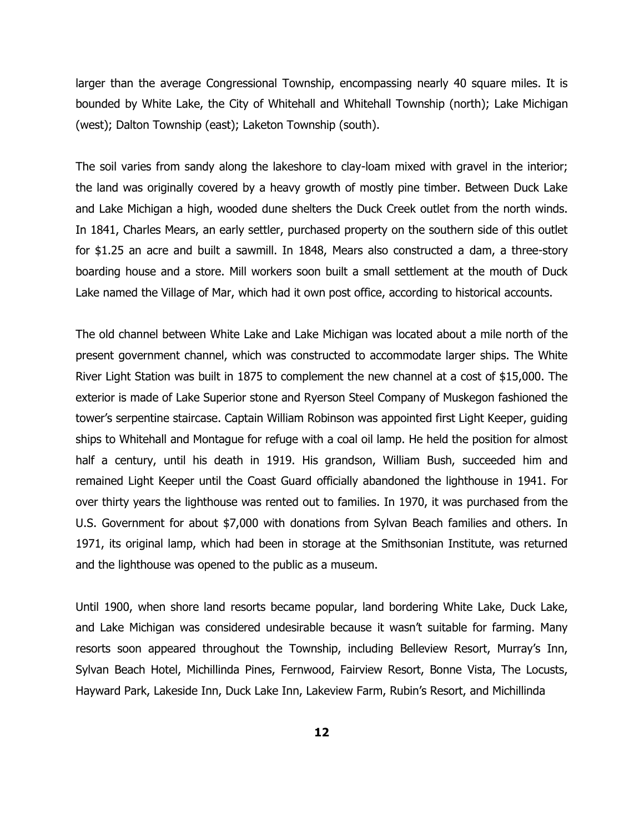larger than the average Congressional Township, encompassing nearly 40 square miles. It is bounded by White Lake, the City of Whitehall and Whitehall Township (north); Lake Michigan (west); Dalton Township (east); Laketon Township (south).

The soil varies from sandy along the lakeshore to clay-loam mixed with gravel in the interior; the land was originally covered by a heavy growth of mostly pine timber. Between Duck Lake and Lake Michigan a high, wooded dune shelters the Duck Creek outlet from the north winds. In 1841, Charles Mears, an early settler, purchased property on the southern side of this outlet for \$1.25 an acre and built a sawmill. In 1848, Mears also constructed a dam, a three-story boarding house and a store. Mill workers soon built a small settlement at the mouth of Duck Lake named the Village of Mar, which had it own post office, according to historical accounts.

The old channel between White Lake and Lake Michigan was located about a mile north of the present government channel, which was constructed to accommodate larger ships. The White River Light Station was built in 1875 to complement the new channel at a cost of \$15,000. The exterior is made of Lake Superior stone and Ryerson Steel Company of Muskegon fashioned the tower's serpentine staircase. Captain William Robinson was appointed first Light Keeper, guiding ships to Whitehall and Montague for refuge with a coal oil lamp. He held the position for almost half a century, until his death in 1919. His grandson, William Bush, succeeded him and remained Light Keeper until the Coast Guard officially abandoned the lighthouse in 1941. For over thirty years the lighthouse was rented out to families. In 1970, it was purchased from the U.S. Government for about \$7,000 with donations from Sylvan Beach families and others. In 1971, its original lamp, which had been in storage at the Smithsonian Institute, was returned and the lighthouse was opened to the public as a museum.

Until 1900, when shore land resorts became popular, land bordering White Lake, Duck Lake, and Lake Michigan was considered undesirable because it wasn't suitable for farming. Many resorts soon appeared throughout the Township, including Belleview Resort, Murray's Inn, Sylvan Beach Hotel, Michillinda Pines, Fernwood, Fairview Resort, Bonne Vista, The Locusts, Hayward Park, Lakeside Inn, Duck Lake Inn, Lakeview Farm, Rubin's Resort, and Michillinda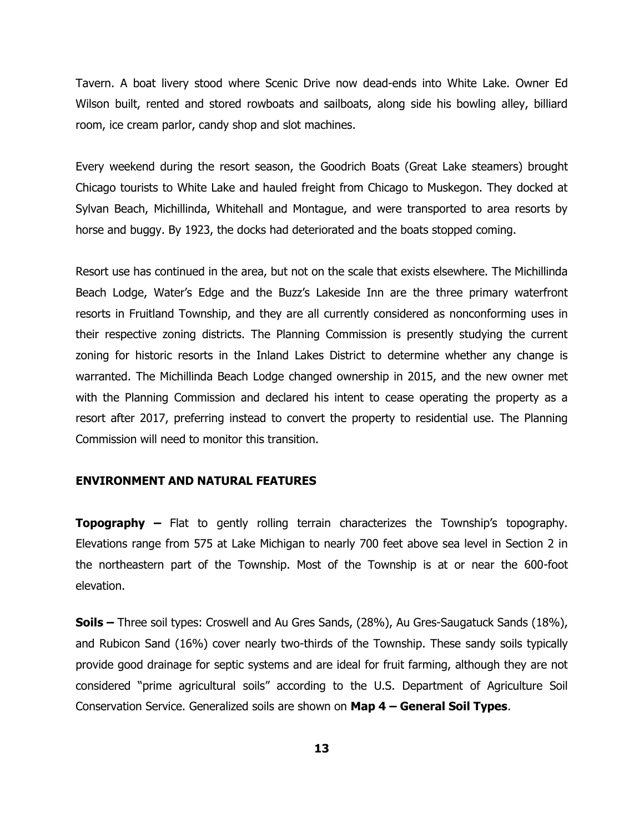Tavern. A boat livery stood where Scenic Drive now dead-ends into White Lake. Owner Ed Wilson built, rented and stored rowboats and sailboats, along side his bowling alley, billiard room, ice cream parlor, candy shop and slot machines.

Every weekend during the resort season, the Goodrich Boats (Great Lake steamers) brought Chicago tourists to White Lake and hauled freight from Chicago to Muskegon. They docked at Sylvan Beach, Michillinda, Whitehall and Montague, and were transported to area resorts by horse and buggy. By 1923, the docks had deteriorated and the boats stopped coming.

Resort use has continued in the area, but not on the scale that exists elsewhere. The Michillinda Beach Lodge, Water's Edge and the Buzz's Lakeside Inn are the three primary waterfront resorts in Fruitland Township, and they are all currently considered as nonconforming uses in their respective zoning districts. The Planning Commission is presently studying the current zoning for historic resorts in the Inland Lakes District to determine whether any change is warranted. The Michillinda Beach Lodge changed ownership in 2015, and the new owner met with the Planning Commission and declared his intent to cease operating the property as a resort after 2017, preferring instead to convert the property to residential use. The Planning Commission will need to monitor this transition.

#### **ENVIRONMENT AND NATURAL FEATURES**

**Topography –** Flat to gently rolling terrain characterizes the Township's topography. Elevations range from 575 at Lake Michigan to nearly 700 feet above sea level in Section 2 in the northeastern part of the Township. Most of the Township is at or near the 600-foot elevation.

**Soils –** Three soil types: Croswell and Au Gres Sands, (28%), Au Gres-Saugatuck Sands (18%), and Rubicon Sand (16%) cover nearly two-thirds of the Township. These sandy soils typically provide good drainage for septic systems and are ideal for fruit farming, although they are not considered "prime agricultural soils" according to the U.S. Department of Agriculture Soil Conservation Service. Generalized soils are shown on **Map 4 – General Soil Types**.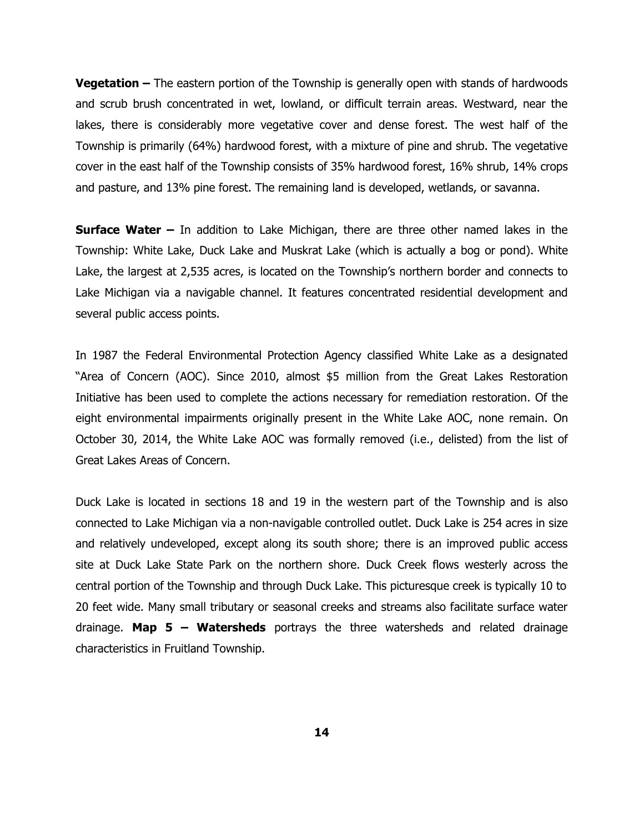**Vegetation –** The eastern portion of the Township is generally open with stands of hardwoods and scrub brush concentrated in wet, lowland, or difficult terrain areas. Westward, near the lakes, there is considerably more vegetative cover and dense forest. The west half of the Township is primarily (64%) hardwood forest, with a mixture of pine and shrub. The vegetative cover in the east half of the Township consists of 35% hardwood forest, 16% shrub, 14% crops and pasture, and 13% pine forest. The remaining land is developed, wetlands, or savanna.

**Surface Water –** In addition to Lake Michigan, there are three other named lakes in the Township: White Lake, Duck Lake and Muskrat Lake (which is actually a bog or pond). White Lake, the largest at 2,535 acres, is located on the Township's northern border and connects to Lake Michigan via a navigable channel. It features concentrated residential development and several public access points.

In 1987 the Federal Environmental Protection Agency classified White Lake as a designated "Area of Concern (AOC). Since 2010, almost \$5 million from the Great Lakes Restoration Initiative has been used to complete the actions necessary for remediation restoration. Of the eight environmental impairments originally present in the White Lake AOC, none remain. On October 30, 2014, the White Lake AOC was formally removed (i.e., delisted) from the list of Great Lakes Areas of Concern.

Duck Lake is located in sections 18 and 19 in the western part of the Township and is also connected to Lake Michigan via a non-navigable controlled outlet. Duck Lake is 254 acres in size and relatively undeveloped, except along its south shore; there is an improved public access site at Duck Lake State Park on the northern shore. Duck Creek flows westerly across the central portion of the Township and through Duck Lake. This picturesque creek is typically 10 to 20 feet wide. Many small tributary or seasonal creeks and streams also facilitate surface water drainage. **Map 5 – Watersheds** portrays the three watersheds and related drainage characteristics in Fruitland Township.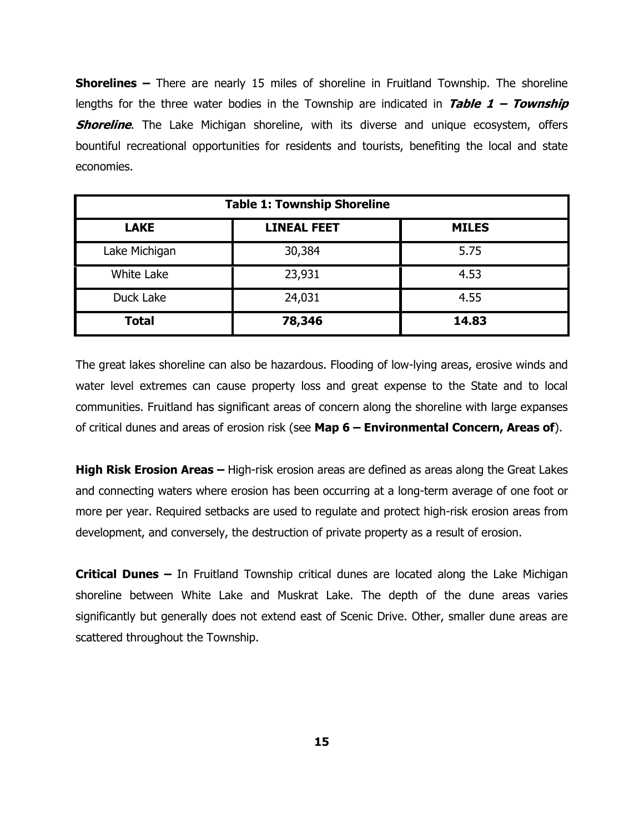**Shorelines –** There are nearly 15 miles of shoreline in Fruitland Township. The shoreline lengths for the three water bodies in the Township are indicated in **Table 1 – Township Shoreline**. The Lake Michigan shoreline, with its diverse and unique ecosystem, offers bountiful recreational opportunities for residents and tourists, benefiting the local and state economies.

| <b>Table 1: Township Shoreline</b> |                    |              |  |
|------------------------------------|--------------------|--------------|--|
| <b>LAKE</b>                        | <b>LINEAL FEET</b> | <b>MILES</b> |  |
| Lake Michigan                      | 30,384             | 5.75         |  |
| White Lake                         | 23,931             | 4.53         |  |
| Duck Lake                          | 24,031             | 4.55         |  |
| <b>Total</b>                       | 78,346             | 14.83        |  |

The great lakes shoreline can also be hazardous. Flooding of low-lying areas, erosive winds and water level extremes can cause property loss and great expense to the State and to local communities. Fruitland has significant areas of concern along the shoreline with large expanses of critical dunes and areas of erosion risk (see **Map 6 – Environmental Concern, Areas of**).

**High Risk Erosion Areas –** High-risk erosion areas are defined as areas along the Great Lakes and connecting waters where erosion has been occurring at a long-term average of one foot or more per year. Required setbacks are used to regulate and protect high-risk erosion areas from development, and conversely, the destruction of private property as a result of erosion.

**Critical Dunes –** In Fruitland Township critical dunes are located along the Lake Michigan shoreline between White Lake and Muskrat Lake. The depth of the dune areas varies significantly but generally does not extend east of Scenic Drive. Other, smaller dune areas are scattered throughout the Township.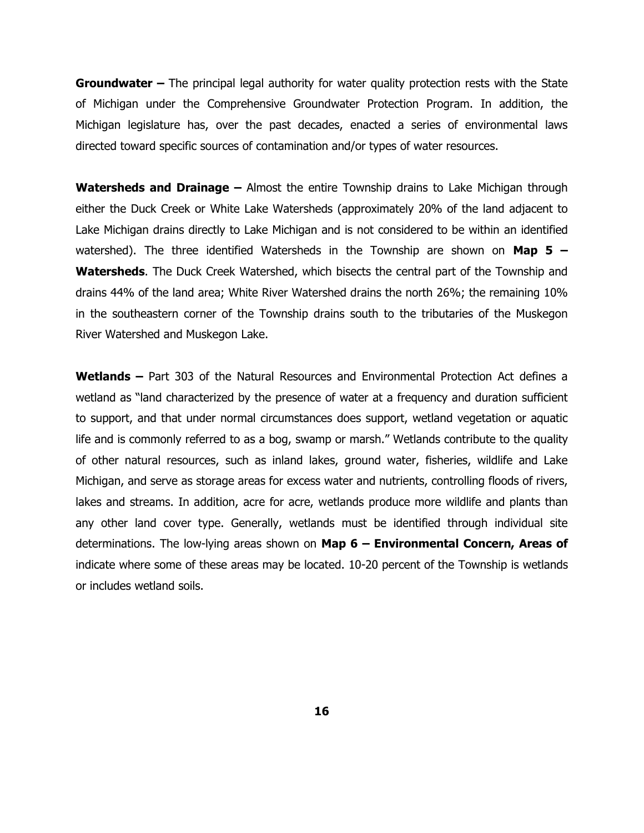**Groundwater –** The principal legal authority for water quality protection rests with the State of Michigan under the Comprehensive Groundwater Protection Program. In addition, the Michigan legislature has, over the past decades, enacted a series of environmental laws directed toward specific sources of contamination and/or types of water resources.

**Watersheds and Drainage –** Almost the entire Township drains to Lake Michigan through either the Duck Creek or White Lake Watersheds (approximately 20% of the land adjacent to Lake Michigan drains directly to Lake Michigan and is not considered to be within an identified watershed). The three identified Watersheds in the Township are shown on **Map 5 – Watersheds**. The Duck Creek Watershed, which bisects the central part of the Township and drains 44% of the land area; White River Watershed drains the north 26%; the remaining 10% in the southeastern corner of the Township drains south to the tributaries of the Muskegon River Watershed and Muskegon Lake.

**Wetlands –** Part 303 of the Natural Resources and Environmental Protection Act defines a wetland as "land characterized by the presence of water at a frequency and duration sufficient to support, and that under normal circumstances does support, wetland vegetation or aquatic life and is commonly referred to as a bog, swamp or marsh." Wetlands contribute to the quality of other natural resources, such as inland lakes, ground water, fisheries, wildlife and Lake Michigan, and serve as storage areas for excess water and nutrients, controlling floods of rivers, lakes and streams. In addition, acre for acre, wetlands produce more wildlife and plants than any other land cover type. Generally, wetlands must be identified through individual site determinations. The low-lying areas shown on **Map 6 – Environmental Concern, Areas of** indicate where some of these areas may be located. 10-20 percent of the Township is wetlands or includes wetland soils.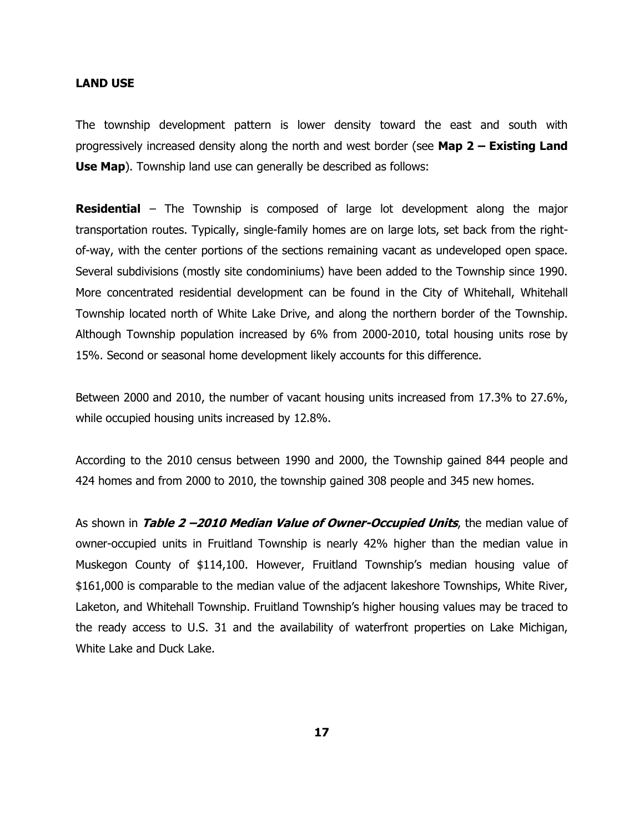#### **LAND USE**

The township development pattern is lower density toward the east and south with progressively increased density along the north and west border (see **Map 2 – Existing Land Use Map**). Township land use can generally be described as follows:

**Residential** – The Township is composed of large lot development along the major transportation routes. Typically, single-family homes are on large lots, set back from the rightof-way, with the center portions of the sections remaining vacant as undeveloped open space. Several subdivisions (mostly site condominiums) have been added to the Township since 1990. More concentrated residential development can be found in the City of Whitehall, Whitehall Township located north of White Lake Drive, and along the northern border of the Township. Although Township population increased by 6% from 2000-2010, total housing units rose by 15%. Second or seasonal home development likely accounts for this difference.

Between 2000 and 2010, the number of vacant housing units increased from 17.3% to 27.6%, while occupied housing units increased by 12.8%.

According to the 2010 census between 1990 and 2000, the Township gained 844 people and 424 homes and from 2000 to 2010, the township gained 308 people and 345 new homes.

As shown in **Table 2 –2010 Median Value of Owner-Occupied Units**, the median value of owner-occupied units in Fruitland Township is nearly 42% higher than the median value in Muskegon County of \$114,100. However, Fruitland Township's median housing value of \$161,000 is comparable to the median value of the adjacent lakeshore Townships, White River, Laketon, and Whitehall Township. Fruitland Township's higher housing values may be traced to the ready access to U.S. 31 and the availability of waterfront properties on Lake Michigan, White Lake and Duck Lake.

**17**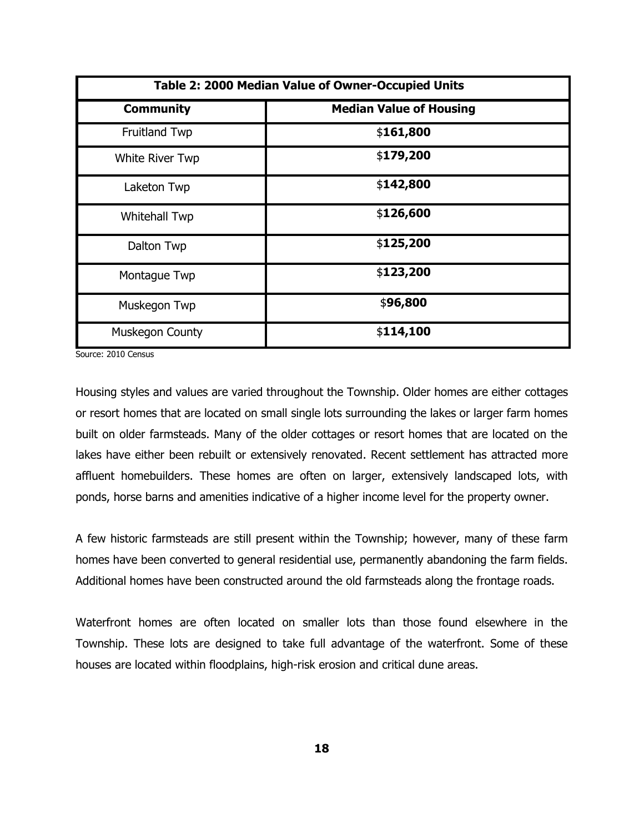| Table 2: 2000 Median Value of Owner-Occupied Units |                                |  |  |
|----------------------------------------------------|--------------------------------|--|--|
| <b>Community</b>                                   | <b>Median Value of Housing</b> |  |  |
| <b>Fruitland Twp</b>                               | \$161,800                      |  |  |
| <b>White River Twp</b>                             | \$179,200                      |  |  |
| Laketon Twp                                        | \$142,800                      |  |  |
| <b>Whitehall Twp</b>                               | \$126,600                      |  |  |
| Dalton Twp                                         | \$125,200                      |  |  |
| Montague Twp                                       | \$123,200                      |  |  |
| Muskegon Twp                                       | \$96,800                       |  |  |
| Muskegon County                                    | \$114,100                      |  |  |

Source: 2010 Census

Housing styles and values are varied throughout the Township. Older homes are either cottages or resort homes that are located on small single lots surrounding the lakes or larger farm homes built on older farmsteads. Many of the older cottages or resort homes that are located on the lakes have either been rebuilt or extensively renovated. Recent settlement has attracted more affluent homebuilders. These homes are often on larger, extensively landscaped lots, with ponds, horse barns and amenities indicative of a higher income level for the property owner.

A few historic farmsteads are still present within the Township; however, many of these farm homes have been converted to general residential use, permanently abandoning the farm fields. Additional homes have been constructed around the old farmsteads along the frontage roads.

Waterfront homes are often located on smaller lots than those found elsewhere in the Township. These lots are designed to take full advantage of the waterfront. Some of these houses are located within floodplains, high-risk erosion and critical dune areas.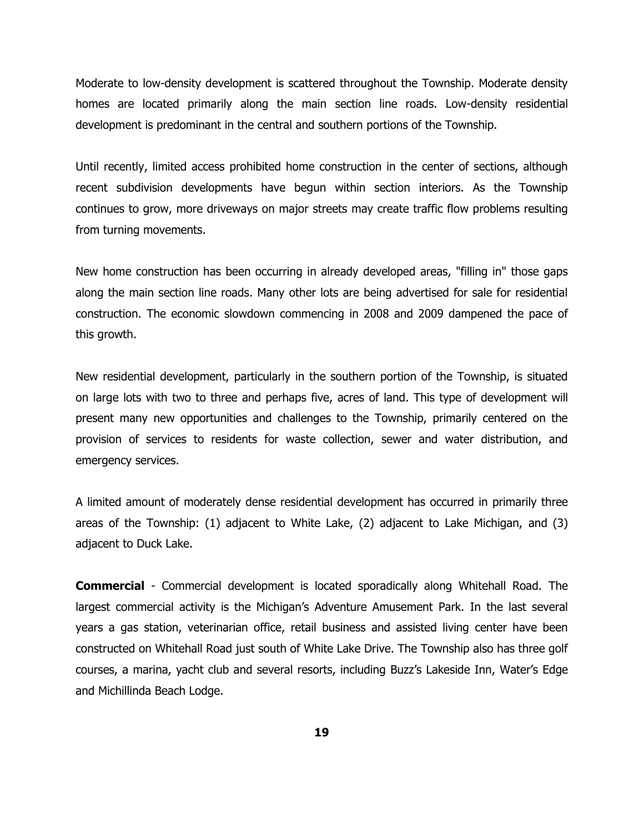Moderate to low-density development is scattered throughout the Township. Moderate density homes are located primarily along the main section line roads. Low-density residential development is predominant in the central and southern portions of the Township.

Until recently, limited access prohibited home construction in the center of sections, although recent subdivision developments have begun within section interiors. As the Township continues to grow, more driveways on major streets may create traffic flow problems resulting from turning movements.

New home construction has been occurring in already developed areas, "filling in" those gaps along the main section line roads. Many other lots are being advertised for sale for residential construction. The economic slowdown commencing in 2008 and 2009 dampened the pace of this growth.

New residential development, particularly in the southern portion of the Township, is situated on large lots with two to three and perhaps five, acres of land. This type of development will present many new opportunities and challenges to the Township, primarily centered on the provision of services to residents for waste collection, sewer and water distribution, and emergency services.

A limited amount of moderately dense residential development has occurred in primarily three areas of the Township: (1) adjacent to White Lake, (2) adjacent to Lake Michigan, and (3) adjacent to Duck Lake.

**Commercial** - Commercial development is located sporadically along Whitehall Road. The largest commercial activity is the Michigan's Adventure Amusement Park. In the last several years a gas station, veterinarian office, retail business and assisted living center have been constructed on Whitehall Road just south of White Lake Drive. The Township also has three golf courses, a marina, yacht club and several resorts, including Buzz's Lakeside Inn, Water's Edge and Michillinda Beach Lodge.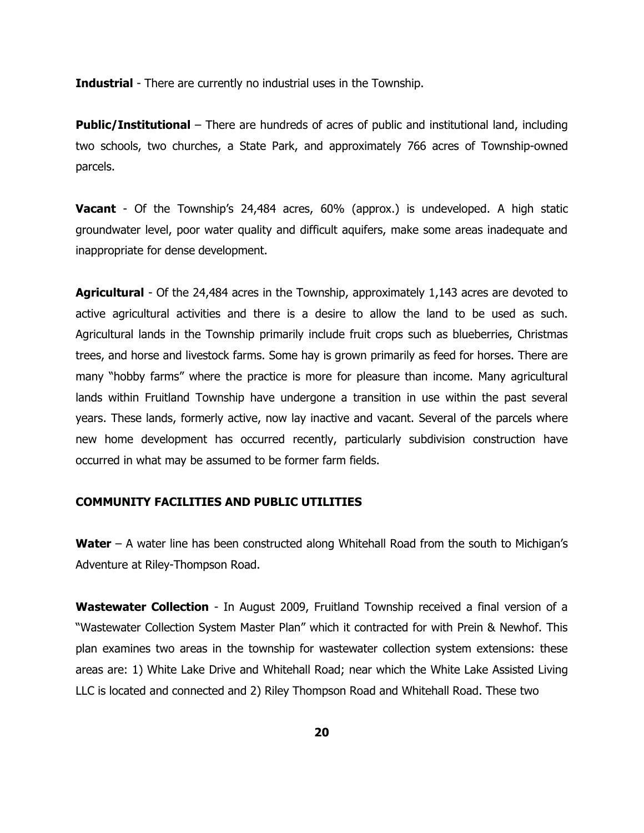**Industrial** - There are currently no industrial uses in the Township.

**Public/Institutional** – There are hundreds of acres of public and institutional land, including two schools, two churches, a State Park, and approximately 766 acres of Township-owned parcels.

**Vacant** - Of the Township's 24,484 acres, 60% (approx.) is undeveloped. A high static groundwater level, poor water quality and difficult aquifers, make some areas inadequate and inappropriate for dense development.

**Agricultural** - Of the 24,484 acres in the Township, approximately 1,143 acres are devoted to active agricultural activities and there is a desire to allow the land to be used as such. Agricultural lands in the Township primarily include fruit crops such as blueberries, Christmas trees, and horse and livestock farms. Some hay is grown primarily as feed for horses. There are many "hobby farms" where the practice is more for pleasure than income. Many agricultural lands within Fruitland Township have undergone a transition in use within the past several years. These lands, formerly active, now lay inactive and vacant. Several of the parcels where new home development has occurred recently, particularly subdivision construction have occurred in what may be assumed to be former farm fields.

#### **COMMUNITY FACILITIES AND PUBLIC UTILITIES**

**Water** – A water line has been constructed along Whitehall Road from the south to Michigan's Adventure at Riley-Thompson Road.

**Wastewater Collection** - In August 2009, Fruitland Township received a final version of a "Wastewater Collection System Master Plan" which it contracted for with Prein & Newhof. This plan examines two areas in the township for wastewater collection system extensions: these areas are: 1) White Lake Drive and Whitehall Road; near which the White Lake Assisted Living LLC is located and connected and 2) Riley Thompson Road and Whitehall Road. These two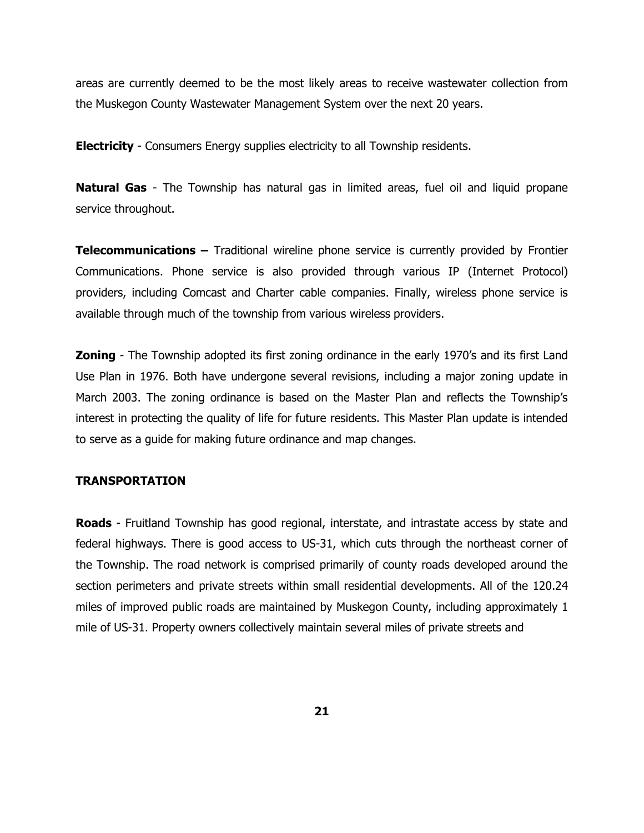areas are currently deemed to be the most likely areas to receive wastewater collection from the Muskegon County Wastewater Management System over the next 20 years.

**Electricity** - Consumers Energy supplies electricity to all Township residents.

**Natural Gas** - The Township has natural gas in limited areas, fuel oil and liquid propane service throughout.

**Telecommunications –** Traditional wireline phone service is currently provided by Frontier Communications. Phone service is also provided through various IP (Internet Protocol) providers, including Comcast and Charter cable companies. Finally, wireless phone service is available through much of the township from various wireless providers.

**Zoning** - The Township adopted its first zoning ordinance in the early 1970's and its first Land Use Plan in 1976. Both have undergone several revisions, including a major zoning update in March 2003. The zoning ordinance is based on the Master Plan and reflects the Township's interest in protecting the quality of life for future residents. This Master Plan update is intended to serve as a guide for making future ordinance and map changes.

#### **TRANSPORTATION**

**Roads** - Fruitland Township has good regional, interstate, and intrastate access by state and federal highways. There is good access to US-31, which cuts through the northeast corner of the Township. The road network is comprised primarily of county roads developed around the section perimeters and private streets within small residential developments. All of the 120.24 miles of improved public roads are maintained by Muskegon County, including approximately 1 mile of US-31. Property owners collectively maintain several miles of private streets and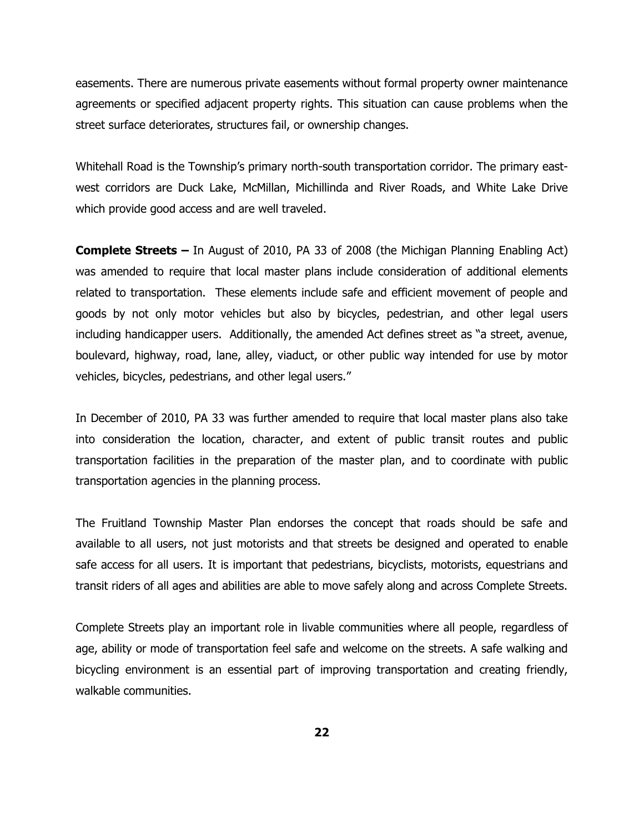easements. There are numerous private easements without formal property owner maintenance agreements or specified adjacent property rights. This situation can cause problems when the street surface deteriorates, structures fail, or ownership changes.

Whitehall Road is the Township's primary north-south transportation corridor. The primary eastwest corridors are Duck Lake, McMillan, Michillinda and River Roads, and White Lake Drive which provide good access and are well traveled.

**Complete Streets –** In August of 2010, PA 33 of 2008 (the Michigan Planning Enabling Act) was amended to require that local master plans include consideration of additional elements related to transportation. These elements include safe and efficient movement of people and goods by not only motor vehicles but also by bicycles, pedestrian, and other legal users including handicapper users. Additionally, the amended Act defines street as "a street, avenue, boulevard, highway, road, lane, alley, viaduct, or other public way intended for use by motor vehicles, bicycles, pedestrians, and other legal users."

In December of 2010, PA 33 was further amended to require that local master plans also take into consideration the location, character, and extent of public transit routes and public transportation facilities in the preparation of the master plan, and to coordinate with public transportation agencies in the planning process.

The Fruitland Township Master Plan endorses the concept that roads should be safe and available to all users, not just motorists and that streets be designed and operated to enable safe access for all users. It is important that pedestrians, bicyclists, motorists, equestrians and transit riders of all ages and abilities are able to move safely along and across Complete Streets.

Complete Streets play an important role in livable communities where all people, regardless of age, ability or mode of transportation feel safe and welcome on the streets. A safe walking and bicycling environment is an essential part of improving transportation and creating friendly, walkable communities.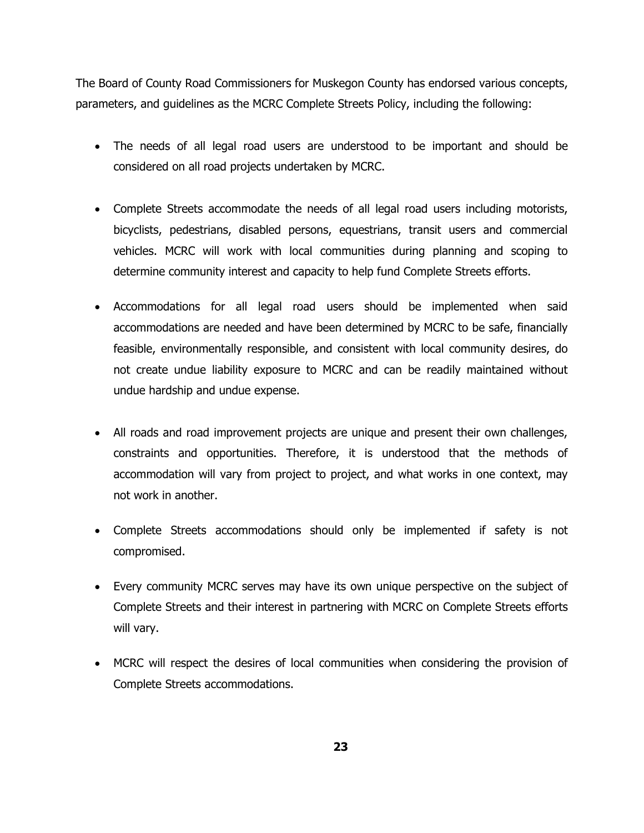The Board of County Road Commissioners for Muskegon County has endorsed various concepts, parameters, and guidelines as the MCRC Complete Streets Policy, including the following:

- The needs of all legal road users are understood to be important and should be considered on all road projects undertaken by MCRC.
- Complete Streets accommodate the needs of all legal road users including motorists, bicyclists, pedestrians, disabled persons, equestrians, transit users and commercial vehicles. MCRC will work with local communities during planning and scoping to determine community interest and capacity to help fund Complete Streets efforts.
- Accommodations for all legal road users should be implemented when said accommodations are needed and have been determined by MCRC to be safe, financially feasible, environmentally responsible, and consistent with local community desires, do not create undue liability exposure to MCRC and can be readily maintained without undue hardship and undue expense.
- All roads and road improvement projects are unique and present their own challenges, constraints and opportunities. Therefore, it is understood that the methods of accommodation will vary from project to project, and what works in one context, may not work in another.
- Complete Streets accommodations should only be implemented if safety is not compromised.
- Every community MCRC serves may have its own unique perspective on the subject of Complete Streets and their interest in partnering with MCRC on Complete Streets efforts will vary.
- MCRC will respect the desires of local communities when considering the provision of Complete Streets accommodations.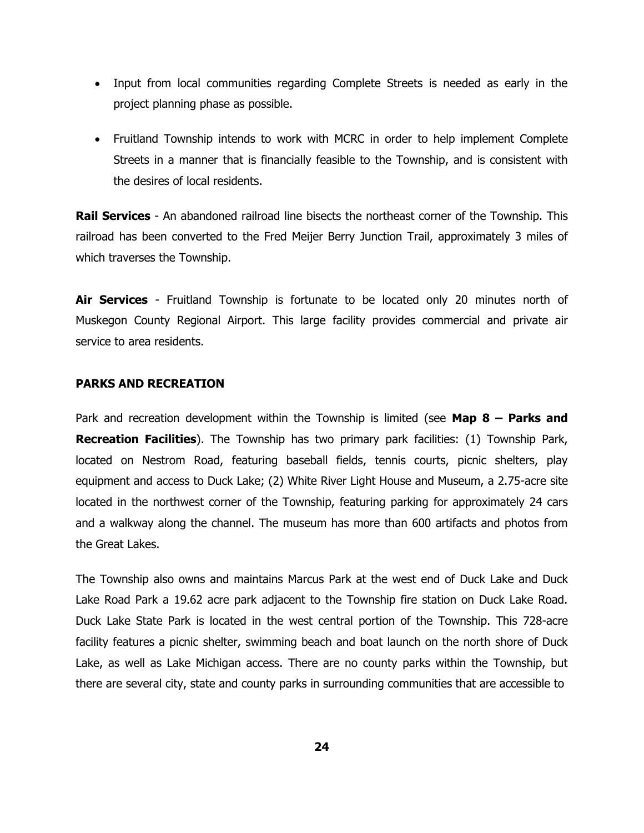- Input from local communities regarding Complete Streets is needed as early in the project planning phase as possible.
- Fruitland Township intends to work with MCRC in order to help implement Complete Streets in a manner that is financially feasible to the Township, and is consistent with the desires of local residents.

**Rail Services** - An abandoned railroad line bisects the northeast corner of the Township. This railroad has been converted to the Fred Meijer Berry Junction Trail, approximately 3 miles of which traverses the Township.

**Air Services** - Fruitland Township is fortunate to be located only 20 minutes north of Muskegon County Regional Airport. This large facility provides commercial and private air service to area residents.

## **PARKS AND RECREATION**

Park and recreation development within the Township is limited (see **Map 8 – Parks and Recreation Facilities**). The Township has two primary park facilities: (1) Township Park, located on Nestrom Road, featuring baseball fields, tennis courts, picnic shelters, play equipment and access to Duck Lake; (2) White River Light House and Museum, a 2.75-acre site located in the northwest corner of the Township, featuring parking for approximately 24 cars and a walkway along the channel. The museum has more than 600 artifacts and photos from the Great Lakes.

The Township also owns and maintains Marcus Park at the west end of Duck Lake and Duck Lake Road Park a 19.62 acre park adjacent to the Township fire station on Duck Lake Road. Duck Lake State Park is located in the west central portion of the Township. This 728-acre facility features a picnic shelter, swimming beach and boat launch on the north shore of Duck Lake, as well as Lake Michigan access. There are no county parks within the Township, but there are several city, state and county parks in surrounding communities that are accessible to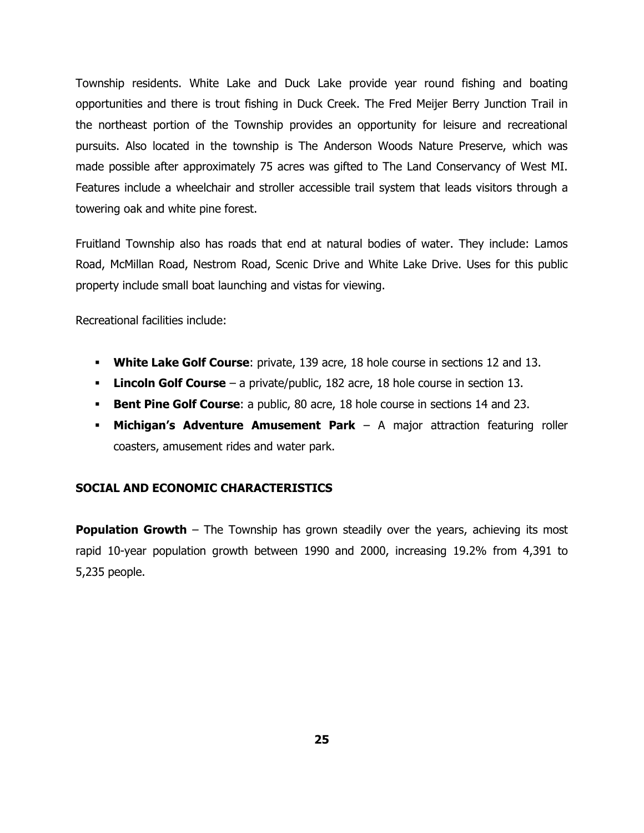Township residents. White Lake and Duck Lake provide year round fishing and boating opportunities and there is trout fishing in Duck Creek. The Fred Meijer Berry Junction Trail in the northeast portion of the Township provides an opportunity for leisure and recreational pursuits. Also located in the township is The Anderson Woods Nature Preserve, which was made possible after approximately 75 acres was gifted to The Land Conservancy of West MI. Features include a wheelchair and stroller accessible trail system that leads visitors through a towering oak and white pine forest.

Fruitland Township also has roads that end at natural bodies of water. They include: Lamos Road, McMillan Road, Nestrom Road, Scenic Drive and White Lake Drive. Uses for this public property include small boat launching and vistas for viewing.

Recreational facilities include:

- **White Lake Golf Course**: private, 139 acre, 18 hole course in sections 12 and 13.
- **Lincoln Golf Course** a private/public, 182 acre, 18 hole course in section 13.
- **Bent Pine Golf Course:** a public, 80 acre, 18 hole course in sections 14 and 23.
- **Michigan's Adventure Amusement Park** A major attraction featuring roller coasters, amusement rides and water park.

## **SOCIAL AND ECONOMIC CHARACTERISTICS**

**Population Growth** – The Township has grown steadily over the years, achieving its most rapid 10-year population growth between 1990 and 2000, increasing 19.2% from 4,391 to 5,235 people.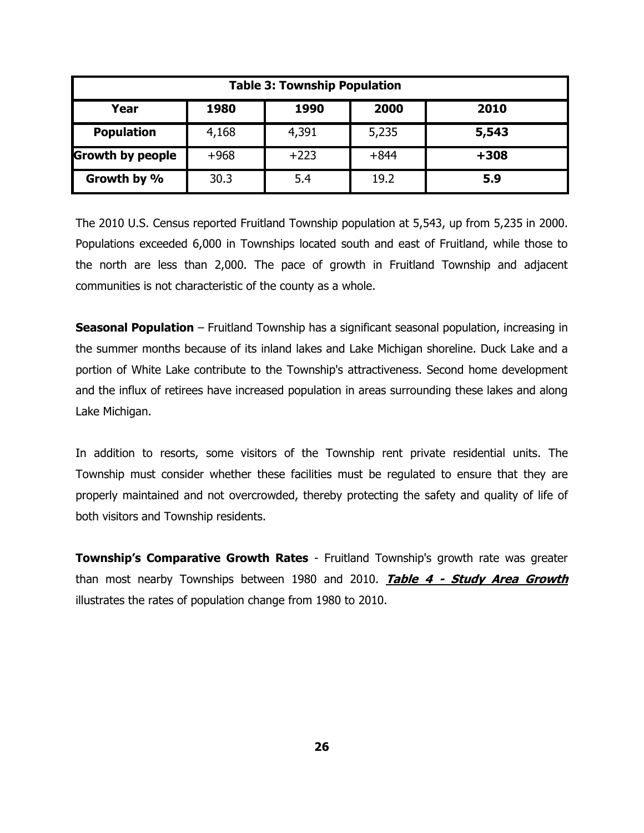| <b>Table 3: Township Population</b> |        |        |        |        |
|-------------------------------------|--------|--------|--------|--------|
| Year                                | 1980   | 1990   | 2000   | 2010   |
| <b>Population</b>                   | 4,168  | 4,391  | 5,235  | 5,543  |
| <b>Growth by people</b>             | $+968$ | $+223$ | $+844$ | $+308$ |
| Growth by %                         | 30.3   | 5.4    | 19.2   | 5.9    |

The 2010 U.S. Census reported Fruitland Township population at 5,543, up from 5,235 in 2000. Populations exceeded 6,000 in Townships located south and east of Fruitland, while those to the north are less than 2,000. The pace of growth in Fruitland Township and adjacent communities is not characteristic of the county as a whole.

**Seasonal Population** – Fruitland Township has a significant seasonal population, increasing in the summer months because of its inland lakes and Lake Michigan shoreline. Duck Lake and a portion of White Lake contribute to the Township's attractiveness. Second home development and the influx of retirees have increased population in areas surrounding these lakes and along Lake Michigan.

In addition to resorts, some visitors of the Township rent private residential units. The Township must consider whether these facilities must be regulated to ensure that they are properly maintained and not overcrowded, thereby protecting the safety and quality of life of both visitors and Township residents.

**Township's Comparative Growth Rates** - Fruitland Township's growth rate was greater than most nearby Townships between 1980 and 2010. **Table 4 - Study Area Growth** illustrates the rates of population change from 1980 to 2010.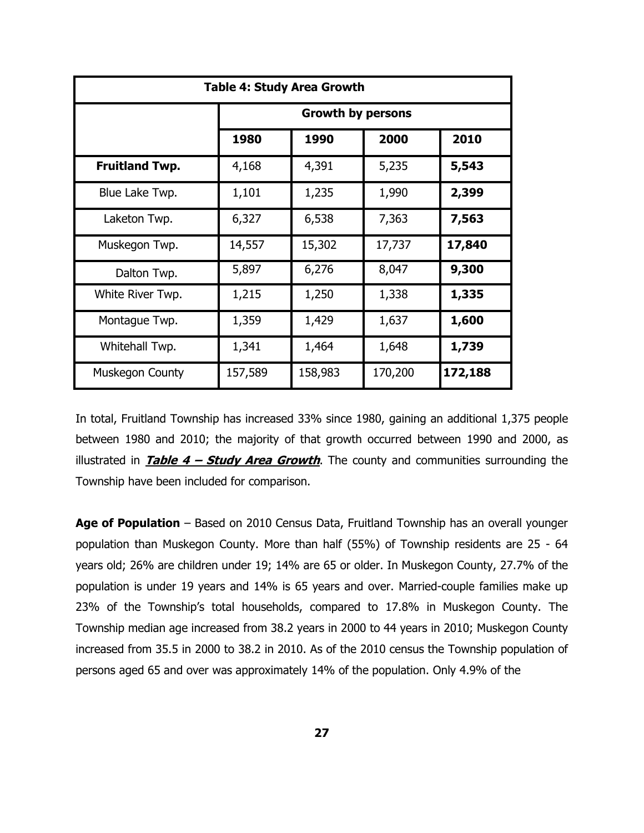| <b>Table 4: Study Area Growth</b> |                          |         |         |         |
|-----------------------------------|--------------------------|---------|---------|---------|
|                                   | <b>Growth by persons</b> |         |         |         |
|                                   | 1980                     | 1990    | 2000    | 2010    |
| <b>Fruitland Twp.</b>             | 4,168                    | 4,391   | 5,235   | 5,543   |
| Blue Lake Twp.                    | 1,101                    | 1,235   | 1,990   | 2,399   |
| Laketon Twp.                      | 6,327                    | 6,538   | 7,363   | 7,563   |
| Muskegon Twp.                     | 14,557                   | 15,302  | 17,737  | 17,840  |
| Dalton Twp.                       | 5,897                    | 6,276   | 8,047   | 9,300   |
| White River Twp.                  | 1,215                    | 1,250   | 1,338   | 1,335   |
| Montague Twp.                     | 1,359                    | 1,429   | 1,637   | 1,600   |
| Whitehall Twp.                    | 1,341                    | 1,464   | 1,648   | 1,739   |
| Muskegon County                   | 157,589                  | 158,983 | 170,200 | 172,188 |

In total, Fruitland Township has increased 33% since 1980, gaining an additional 1,375 people between 1980 and 2010; the majority of that growth occurred between 1990 and 2000, as illustrated in **Table 4 – Study Area Growth**. The county and communities surrounding the Township have been included for comparison.

**Age of Population** – Based on 2010 Census Data, Fruitland Township has an overall younger population than Muskegon County. More than half (55%) of Township residents are 25 - 64 years old; 26% are children under 19; 14% are 65 or older. In Muskegon County, 27.7% of the population is under 19 years and 14% is 65 years and over. Married-couple families make up 23% of the Township's total households, compared to 17.8% in Muskegon County. The Township median age increased from 38.2 years in 2000 to 44 years in 2010; Muskegon County increased from 35.5 in 2000 to 38.2 in 2010. As of the 2010 census the Township population of persons aged 65 and over was approximately 14% of the population. Only 4.9% of the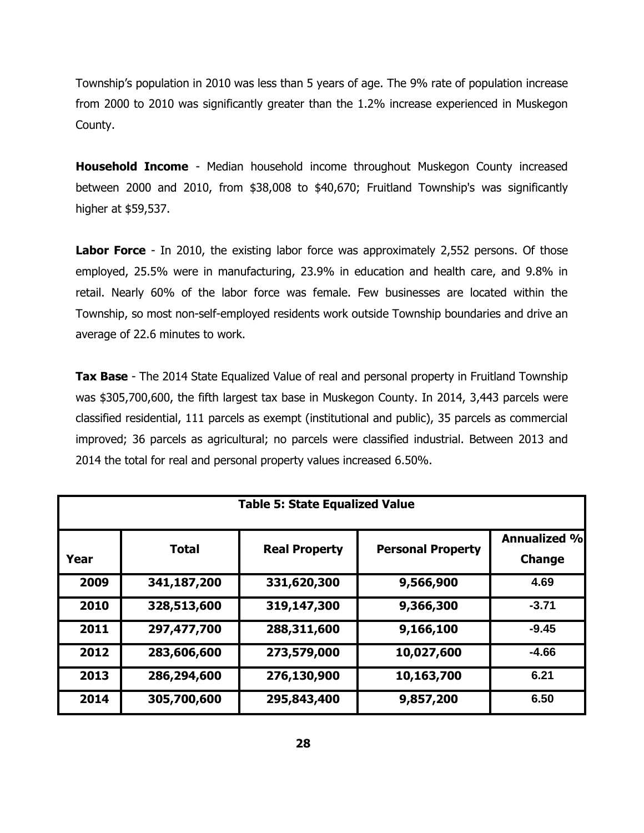Township's population in 2010 was less than 5 years of age. The 9% rate of population increase from 2000 to 2010 was significantly greater than the 1.2% increase experienced in Muskegon County.

**Household Income** - Median household income throughout Muskegon County increased between 2000 and 2010, from \$38,008 to \$40,670; Fruitland Township's was significantly higher at \$59,537.

**Labor Force** - In 2010, the existing labor force was approximately 2,552 persons. Of those employed, 25.5% were in manufacturing, 23.9% in education and health care, and 9.8% in retail. Nearly 60% of the labor force was female. Few businesses are located within the Township, so most non-self-employed residents work outside Township boundaries and drive an average of 22.6 minutes to work.

**Tax Base** - The 2014 State Equalized Value of real and personal property in Fruitland Township was \$305,700,600, the fifth largest tax base in Muskegon County. In 2014, 3,443 parcels were classified residential, 111 parcels as exempt (institutional and public), 35 parcels as commercial improved; 36 parcels as agricultural; no parcels were classified industrial. Between 2013 and 2014 the total for real and personal property values increased 6.50%.

| <b>Table 5: State Equalized Value</b> |              |                      |                          |                                      |
|---------------------------------------|--------------|----------------------|--------------------------|--------------------------------------|
| Year                                  | <b>Total</b> | <b>Real Property</b> | <b>Personal Property</b> | <b>Annualized %</b><br><b>Change</b> |
| 2009                                  | 341,187,200  | 331,620,300          | 9,566,900                | 4.69                                 |
| 2010                                  | 328,513,600  | 319,147,300          | 9,366,300                | $-3.71$                              |
| 2011                                  | 297,477,700  | 288,311,600          | 9,166,100                | $-9.45$                              |
| 2012                                  | 283,606,600  | 273,579,000          | 10,027,600               | $-4.66$                              |
| 2013                                  | 286,294,600  | 276,130,900          | 10,163,700               | 6.21                                 |
| 2014                                  | 305,700,600  | 295,843,400          | 9,857,200                | 6.50                                 |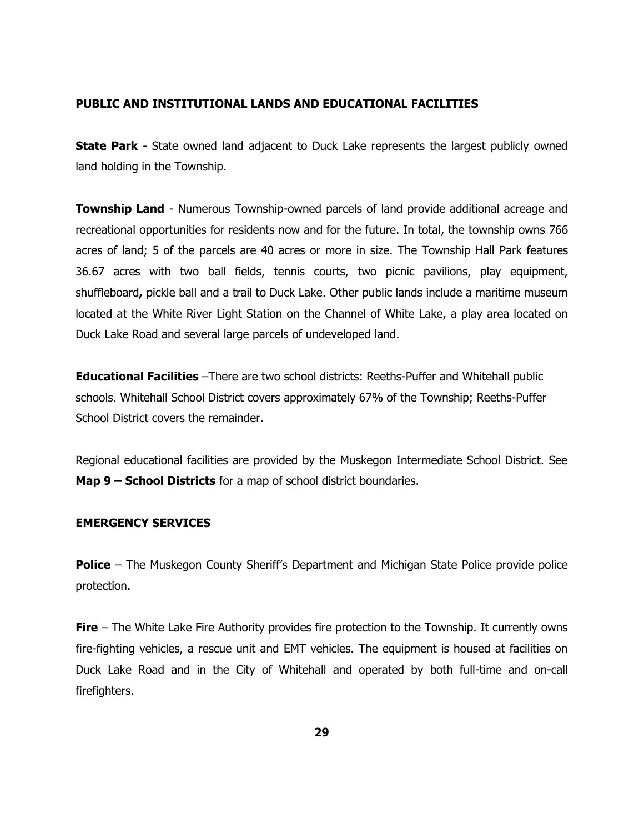### **PUBLIC AND INSTITUTIONAL LANDS AND EDUCATIONAL FACILITIES**

**State Park** - State owned land adjacent to Duck Lake represents the largest publicly owned land holding in the Township.

**Township Land** - Numerous Township-owned parcels of land provide additional acreage and recreational opportunities for residents now and for the future. In total, the township owns 766 acres of land; 5 of the parcels are 40 acres or more in size. The Township Hall Park features 36.67 acres with two ball fields, tennis courts, two picnic pavilions, play equipment, shuffleboard**,** pickle ball and a trail to Duck Lake. Other public lands include a maritime museum located at the White River Light Station on the Channel of White Lake, a play area located on Duck Lake Road and several large parcels of undeveloped land.

**Educational Facilities** –There are two school districts: Reeths-Puffer and Whitehall public schools. Whitehall School District covers approximately 67% of the Township; Reeths-Puffer School District covers the remainder.

Regional educational facilities are provided by the Muskegon Intermediate School District. See **Map 9 – School Districts** for a map of school district boundaries.

#### **EMERGENCY SERVICES**

**Police** – The Muskegon County Sheriff's Department and Michigan State Police provide police protection.

**Fire** – The White Lake Fire Authority provides fire protection to the Township. It currently owns fire-fighting vehicles, a rescue unit and EMT vehicles. The equipment is housed at facilities on Duck Lake Road and in the City of Whitehall and operated by both full-time and on-call firefighters.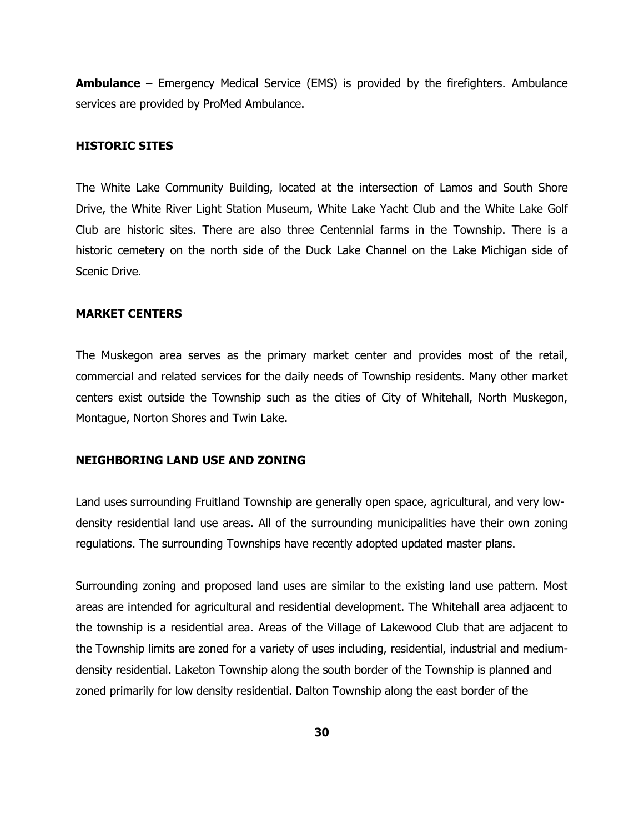**Ambulance** – Emergency Medical Service (EMS) is provided by the firefighters. Ambulance services are provided by ProMed Ambulance.

#### **HISTORIC SITES**

The White Lake Community Building, located at the intersection of Lamos and South Shore Drive, the White River Light Station Museum, White Lake Yacht Club and the White Lake Golf Club are historic sites. There are also three Centennial farms in the Township. There is a historic cemetery on the north side of the Duck Lake Channel on the Lake Michigan side of Scenic Drive.

#### **MARKET CENTERS**

The Muskegon area serves as the primary market center and provides most of the retail, commercial and related services for the daily needs of Township residents. Many other market centers exist outside the Township such as the cities of City of Whitehall, North Muskegon, Montague, Norton Shores and Twin Lake.

#### **NEIGHBORING LAND USE AND ZONING**

Land uses surrounding Fruitland Township are generally open space, agricultural, and very lowdensity residential land use areas. All of the surrounding municipalities have their own zoning regulations. The surrounding Townships have recently adopted updated master plans.

Surrounding zoning and proposed land uses are similar to the existing land use pattern. Most areas are intended for agricultural and residential development. The Whitehall area adjacent to the township is a residential area. Areas of the Village of Lakewood Club that are adjacent to the Township limits are zoned for a variety of uses including, residential, industrial and mediumdensity residential. Laketon Township along the south border of the Township is planned and zoned primarily for low density residential. Dalton Township along the east border of the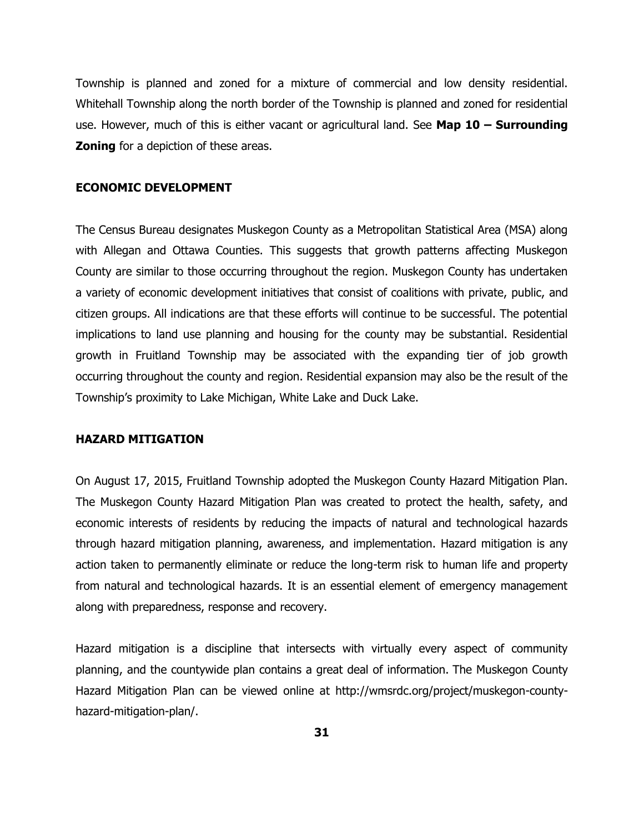Township is planned and zoned for a mixture of commercial and low density residential. Whitehall Township along the north border of the Township is planned and zoned for residential use. However, much of this is either vacant or agricultural land. See **Map 10 – Surrounding Zoning** for a depiction of these areas.

#### **ECONOMIC DEVELOPMENT**

The Census Bureau designates Muskegon County as a Metropolitan Statistical Area (MSA) along with Allegan and Ottawa Counties. This suggests that growth patterns affecting Muskegon County are similar to those occurring throughout the region. Muskegon County has undertaken a variety of economic development initiatives that consist of coalitions with private, public, and citizen groups. All indications are that these efforts will continue to be successful. The potential implications to land use planning and housing for the county may be substantial. Residential growth in Fruitland Township may be associated with the expanding tier of job growth occurring throughout the county and region. Residential expansion may also be the result of the Township's proximity to Lake Michigan, White Lake and Duck Lake.

#### **HAZARD MITIGATION**

On August 17, 2015, Fruitland Township adopted the Muskegon County Hazard Mitigation Plan. The Muskegon County Hazard Mitigation Plan was created to protect the health, safety, and economic interests of residents by reducing the impacts of natural and technological hazards through hazard mitigation planning, awareness, and implementation. Hazard mitigation is any action taken to permanently eliminate or reduce the long-term risk to human life and property from natural and technological hazards. It is an essential element of emergency management along with preparedness, response and recovery.

Hazard mitigation is a discipline that intersects with virtually every aspect of community planning, and the countywide plan contains a great deal of information. The Muskegon County Hazard Mitigation Plan can be viewed online at http://wmsrdc.org/project/muskegon-countyhazard-mitigation-plan/.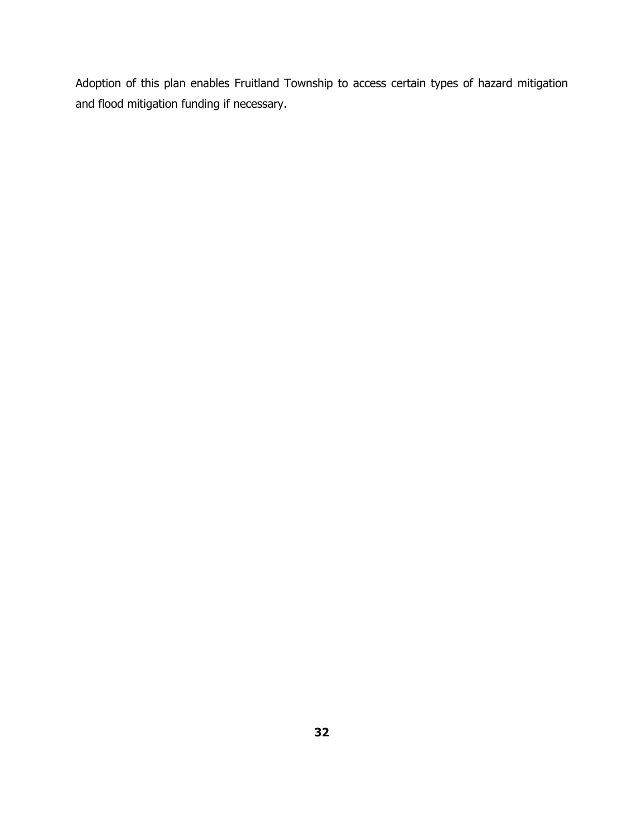Adoption of this plan enables Fruitland Township to access certain types of hazard mitigation and flood mitigation funding if necessary.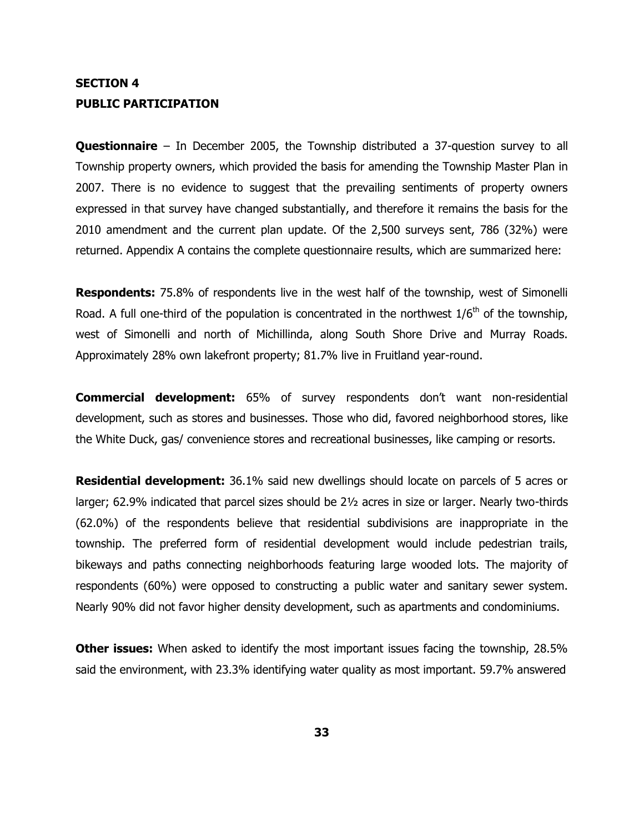## **SECTION 4 PUBLIC PARTICIPATION**

**Questionnaire** – In December 2005, the Township distributed a 37-question survey to all Township property owners, which provided the basis for amending the Township Master Plan in 2007. There is no evidence to suggest that the prevailing sentiments of property owners expressed in that survey have changed substantially, and therefore it remains the basis for the 2010 amendment and the current plan update. Of the 2,500 surveys sent, 786 (32%) were returned. Appendix A contains the complete questionnaire results, which are summarized here:

**Respondents:** 75.8% of respondents live in the west half of the township, west of Simonelli Road. A full one-third of the population is concentrated in the northwest  $1/6<sup>th</sup>$  of the township, west of Simonelli and north of Michillinda, along South Shore Drive and Murray Roads. Approximately 28% own lakefront property; 81.7% live in Fruitland year-round.

**Commercial development:** 65% of survey respondents don't want non-residential development, such as stores and businesses. Those who did, favored neighborhood stores, like the White Duck, gas/ convenience stores and recreational businesses, like camping or resorts.

**Residential development:** 36.1% said new dwellings should locate on parcels of 5 acres or larger; 62.9% indicated that parcel sizes should be 2½ acres in size or larger. Nearly two-thirds (62.0%) of the respondents believe that residential subdivisions are inappropriate in the township. The preferred form of residential development would include pedestrian trails, bikeways and paths connecting neighborhoods featuring large wooded lots. The majority of respondents (60%) were opposed to constructing a public water and sanitary sewer system. Nearly 90% did not favor higher density development, such as apartments and condominiums.

**Other issues:** When asked to identify the most important issues facing the township, 28.5% said the environment, with 23.3% identifying water quality as most important. 59.7% answered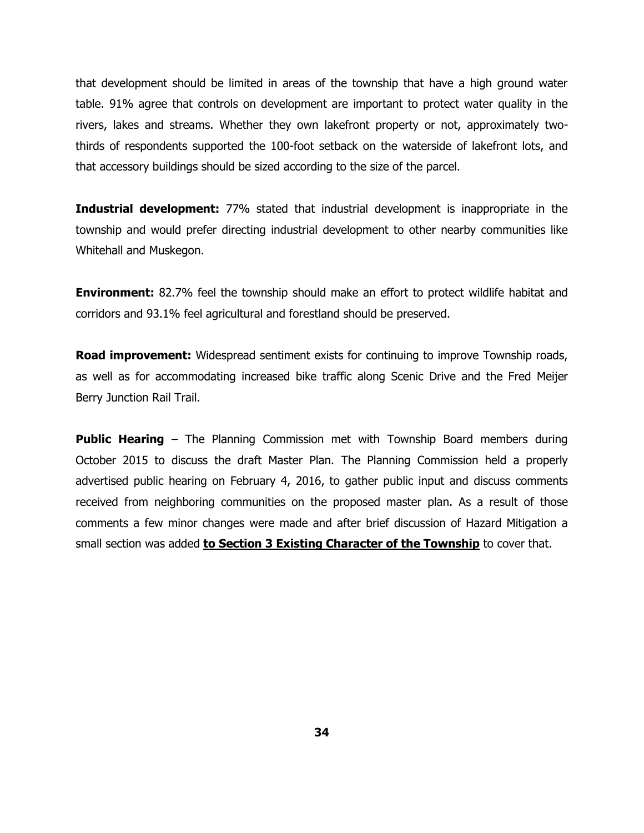that development should be limited in areas of the township that have a high ground water table. 91% agree that controls on development are important to protect water quality in the rivers, lakes and streams. Whether they own lakefront property or not, approximately twothirds of respondents supported the 100-foot setback on the waterside of lakefront lots, and that accessory buildings should be sized according to the size of the parcel.

**Industrial development:** 77% stated that industrial development is inappropriate in the township and would prefer directing industrial development to other nearby communities like Whitehall and Muskegon.

**Environment:** 82.7% feel the township should make an effort to protect wildlife habitat and corridors and 93.1% feel agricultural and forestland should be preserved.

**Road improvement:** Widespread sentiment exists for continuing to improve Township roads, as well as for accommodating increased bike traffic along Scenic Drive and the Fred Meijer Berry Junction Rail Trail.

**Public Hearing** – The Planning Commission met with Township Board members during October 2015 to discuss the draft Master Plan. The Planning Commission held a properly advertised public hearing on February 4, 2016, to gather public input and discuss comments received from neighboring communities on the proposed master plan. As a result of those comments a few minor changes were made and after brief discussion of Hazard Mitigation a small section was added **to Section 3 Existing Character of the Township** to cover that.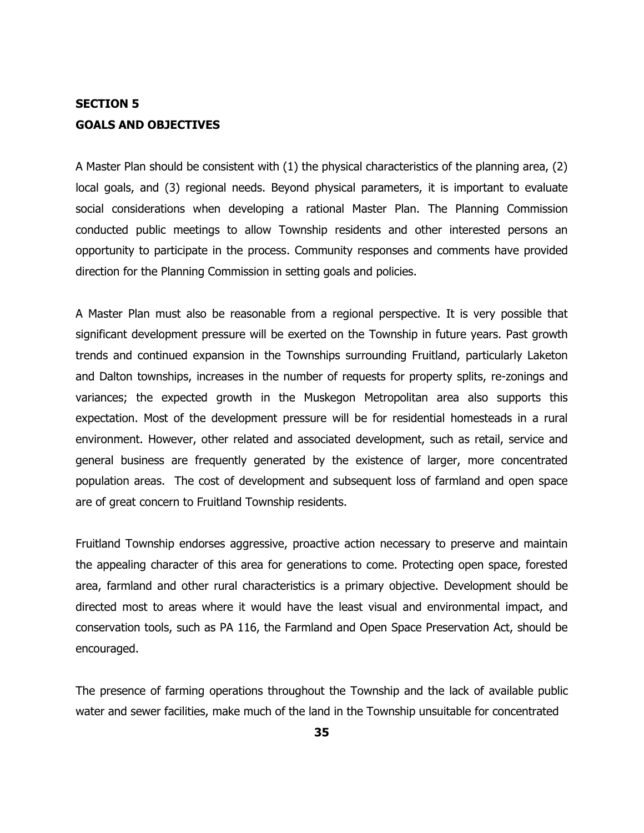## **SECTION 5 GOALS AND OBJECTIVES**

A Master Plan should be consistent with (1) the physical characteristics of the planning area, (2) local goals, and (3) regional needs. Beyond physical parameters, it is important to evaluate social considerations when developing a rational Master Plan. The Planning Commission conducted public meetings to allow Township residents and other interested persons an opportunity to participate in the process. Community responses and comments have provided direction for the Planning Commission in setting goals and policies.

A Master Plan must also be reasonable from a regional perspective. It is very possible that significant development pressure will be exerted on the Township in future years. Past growth trends and continued expansion in the Townships surrounding Fruitland, particularly Laketon and Dalton townships, increases in the number of requests for property splits, re-zonings and variances; the expected growth in the Muskegon Metropolitan area also supports this expectation. Most of the development pressure will be for residential homesteads in a rural environment. However, other related and associated development, such as retail, service and general business are frequently generated by the existence of larger, more concentrated population areas. The cost of development and subsequent loss of farmland and open space are of great concern to Fruitland Township residents.

Fruitland Township endorses aggressive, proactive action necessary to preserve and maintain the appealing character of this area for generations to come. Protecting open space, forested area, farmland and other rural characteristics is a primary objective. Development should be directed most to areas where it would have the least visual and environmental impact, and conservation tools, such as PA 116, the Farmland and Open Space Preservation Act, should be encouraged.

The presence of farming operations throughout the Township and the lack of available public water and sewer facilities, make much of the land in the Township unsuitable for concentrated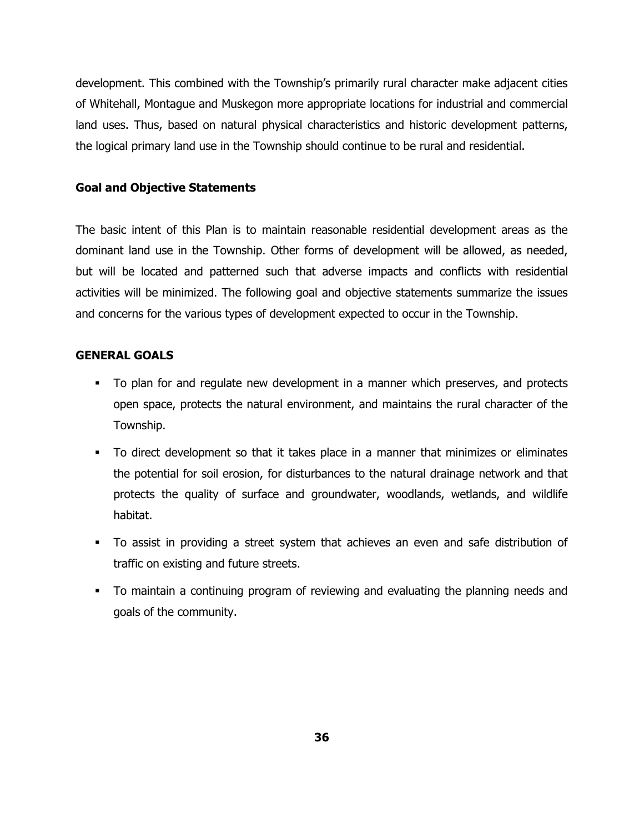development. This combined with the Township's primarily rural character make adjacent cities of Whitehall, Montague and Muskegon more appropriate locations for industrial and commercial land uses. Thus, based on natural physical characteristics and historic development patterns, the logical primary land use in the Township should continue to be rural and residential.

### **Goal and Objective Statements**

The basic intent of this Plan is to maintain reasonable residential development areas as the dominant land use in the Township. Other forms of development will be allowed, as needed, but will be located and patterned such that adverse impacts and conflicts with residential activities will be minimized. The following goal and objective statements summarize the issues and concerns for the various types of development expected to occur in the Township.

### **GENERAL GOALS**

- To plan for and regulate new development in a manner which preserves, and protects open space, protects the natural environment, and maintains the rural character of the Township.
- To direct development so that it takes place in a manner that minimizes or eliminates the potential for soil erosion, for disturbances to the natural drainage network and that protects the quality of surface and groundwater, woodlands, wetlands, and wildlife habitat.
- To assist in providing a street system that achieves an even and safe distribution of traffic on existing and future streets.
- To maintain a continuing program of reviewing and evaluating the planning needs and goals of the community.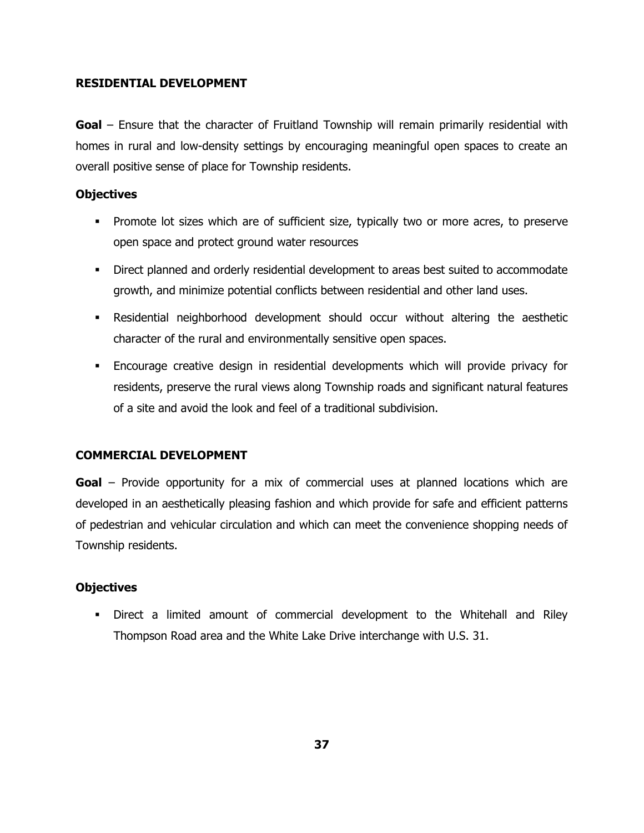### **RESIDENTIAL DEVELOPMENT**

**Goal** – Ensure that the character of Fruitland Township will remain primarily residential with homes in rural and low-density settings by encouraging meaningful open spaces to create an overall positive sense of place for Township residents.

### **Objectives**

- **Promote lot sizes which are of sufficient size, typically two or more acres, to preserve** open space and protect ground water resources
- Direct planned and orderly residential development to areas best suited to accommodate growth, and minimize potential conflicts between residential and other land uses.
- Residential neighborhood development should occur without altering the aesthetic character of the rural and environmentally sensitive open spaces.
- Encourage creative design in residential developments which will provide privacy for residents, preserve the rural views along Township roads and significant natural features of a site and avoid the look and feel of a traditional subdivision.

## **COMMERCIAL DEVELOPMENT**

**Goal** – Provide opportunity for a mix of commercial uses at planned locations which are developed in an aesthetically pleasing fashion and which provide for safe and efficient patterns of pedestrian and vehicular circulation and which can meet the convenience shopping needs of Township residents.

## **Objectives**

 Direct a limited amount of commercial development to the Whitehall and Riley Thompson Road area and the White Lake Drive interchange with U.S. 31.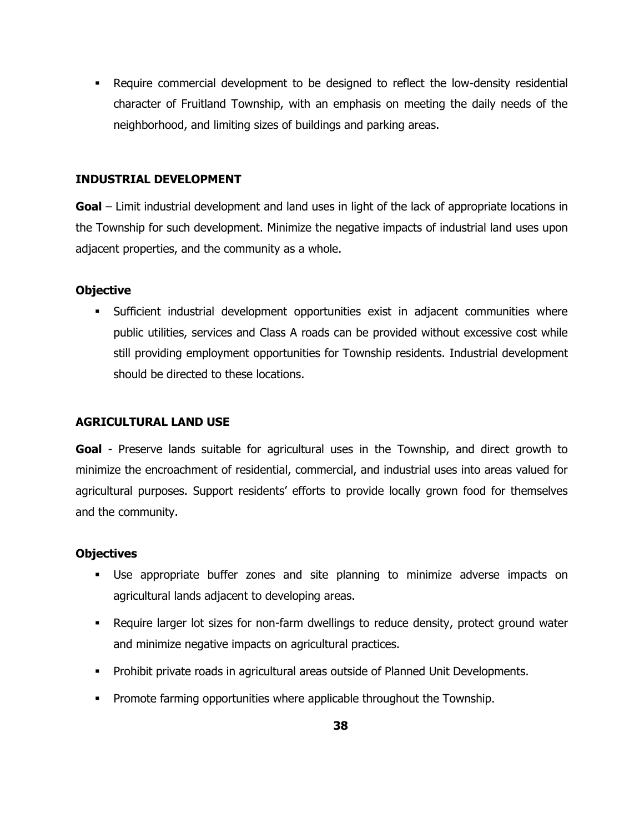Require commercial development to be designed to reflect the low-density residential character of Fruitland Township, with an emphasis on meeting the daily needs of the neighborhood, and limiting sizes of buildings and parking areas.

## **INDUSTRIAL DEVELOPMENT**

**Goal** – Limit industrial development and land uses in light of the lack of appropriate locations in the Township for such development. Minimize the negative impacts of industrial land uses upon adjacent properties, and the community as a whole.

## **Objective**

 Sufficient industrial development opportunities exist in adjacent communities where public utilities, services and Class A roads can be provided without excessive cost while still providing employment opportunities for Township residents. Industrial development should be directed to these locations.

## **AGRICULTURAL LAND USE**

**Goal** - Preserve lands suitable for agricultural uses in the Township, and direct growth to minimize the encroachment of residential, commercial, and industrial uses into areas valued for agricultural purposes. Support residents' efforts to provide locally grown food for themselves and the community.

## **Objectives**

- Use appropriate buffer zones and site planning to minimize adverse impacts on agricultural lands adjacent to developing areas.
- Require larger lot sizes for non-farm dwellings to reduce density, protect ground water and minimize negative impacts on agricultural practices.
- **Prohibit private roads in agricultural areas outside of Planned Unit Developments.**
- **Promote farming opportunities where applicable throughout the Township.**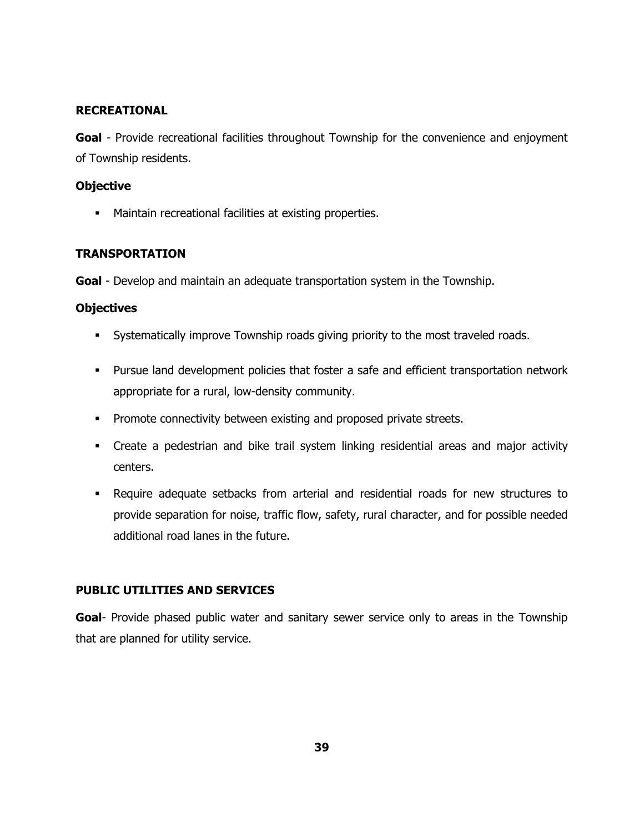## **RECREATIONAL**

**Goal** - Provide recreational facilities throughout Township for the convenience and enjoyment of Township residents.

## **Objective**

**Maintain recreational facilities at existing properties.** 

## **TRANSPORTATION**

**Goal** - Develop and maintain an adequate transportation system in the Township.

## **Objectives**

- Systematically improve Township roads giving priority to the most traveled roads.
- Pursue land development policies that foster a safe and efficient transportation network appropriate for a rural, low-density community.
- **Promote connectivity between existing and proposed private streets.**
- Create a pedestrian and bike trail system linking residential areas and major activity centers.
- Require adequate setbacks from arterial and residential roads for new structures to provide separation for noise, traffic flow, safety, rural character, and for possible needed additional road lanes in the future.

## **PUBLIC UTILITIES AND SERVICES**

**Goal**- Provide phased public water and sanitary sewer service only to areas in the Township that are planned for utility service.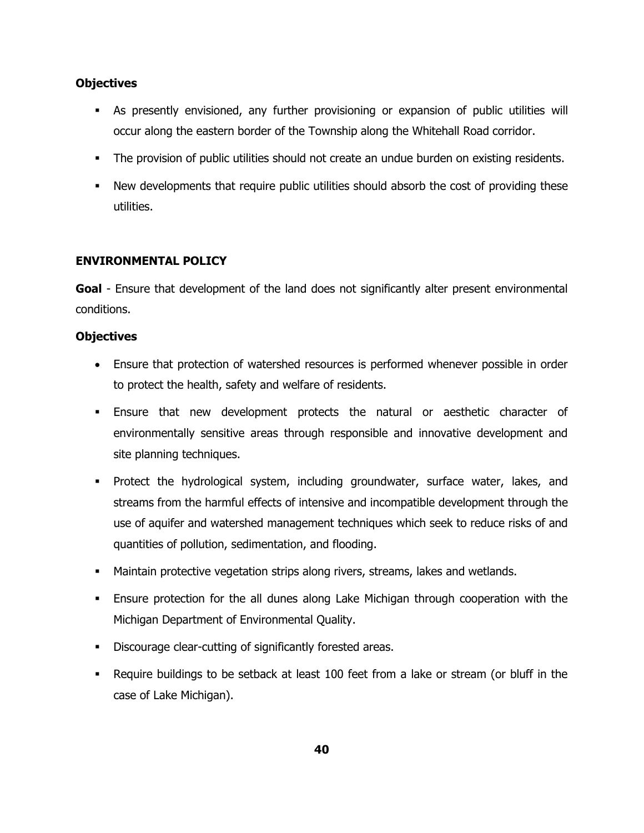## **Objectives**

- As presently envisioned, any further provisioning or expansion of public utilities will occur along the eastern border of the Township along the Whitehall Road corridor.
- The provision of public utilities should not create an undue burden on existing residents.
- New developments that require public utilities should absorb the cost of providing these utilities.

## **ENVIRONMENTAL POLICY**

Goal - Ensure that development of the land does not significantly alter present environmental conditions.

## **Objectives**

- Ensure that protection of watershed resources is performed whenever possible in order to protect the health, safety and welfare of residents.
- Ensure that new development protects the natural or aesthetic character of environmentally sensitive areas through responsible and innovative development and site planning techniques.
- Protect the hydrological system, including groundwater, surface water, lakes, and streams from the harmful effects of intensive and incompatible development through the use of aquifer and watershed management techniques which seek to reduce risks of and quantities of pollution, sedimentation, and flooding.
- **Maintain protective vegetation strips along rivers, streams, lakes and wetlands.**
- Ensure protection for the all dunes along Lake Michigan through cooperation with the Michigan Department of Environmental Quality.
- Discourage clear-cutting of significantly forested areas.
- Require buildings to be setback at least 100 feet from a lake or stream (or bluff in the case of Lake Michigan).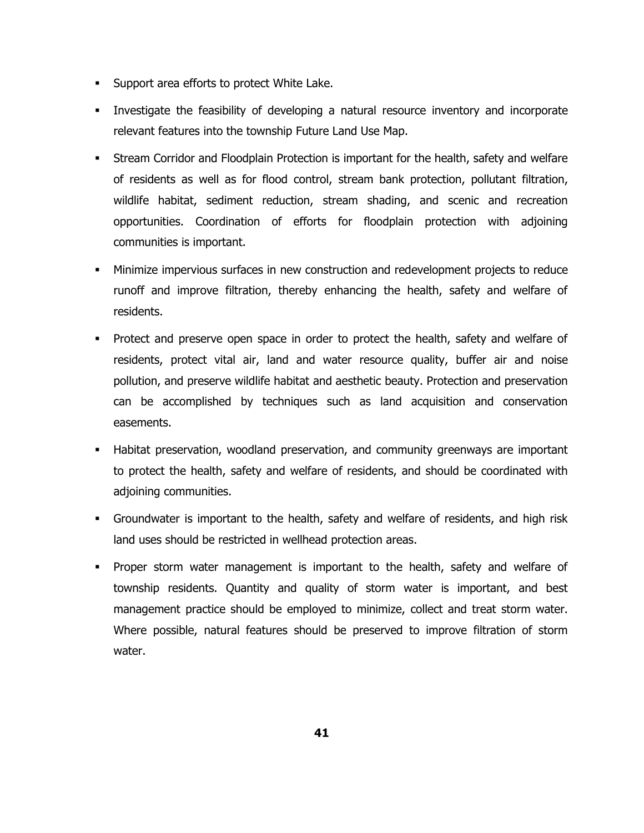- **Support area efforts to protect White Lake.**
- Investigate the feasibility of developing a natural resource inventory and incorporate relevant features into the township Future Land Use Map.
- Stream Corridor and Floodplain Protection is important for the health, safety and welfare of residents as well as for flood control, stream bank protection, pollutant filtration, wildlife habitat, sediment reduction, stream shading, and scenic and recreation opportunities. Coordination of efforts for floodplain protection with adjoining communities is important.
- Minimize impervious surfaces in new construction and redevelopment projects to reduce runoff and improve filtration, thereby enhancing the health, safety and welfare of residents.
- Protect and preserve open space in order to protect the health, safety and welfare of residents, protect vital air, land and water resource quality, buffer air and noise pollution, and preserve wildlife habitat and aesthetic beauty. Protection and preservation can be accomplished by techniques such as land acquisition and conservation easements.
- Habitat preservation, woodland preservation, and community greenways are important to protect the health, safety and welfare of residents, and should be coordinated with adjoining communities.
- Groundwater is important to the health, safety and welfare of residents, and high risk land uses should be restricted in wellhead protection areas.
- Proper storm water management is important to the health, safety and welfare of township residents. Quantity and quality of storm water is important, and best management practice should be employed to minimize, collect and treat storm water. Where possible, natural features should be preserved to improve filtration of storm water.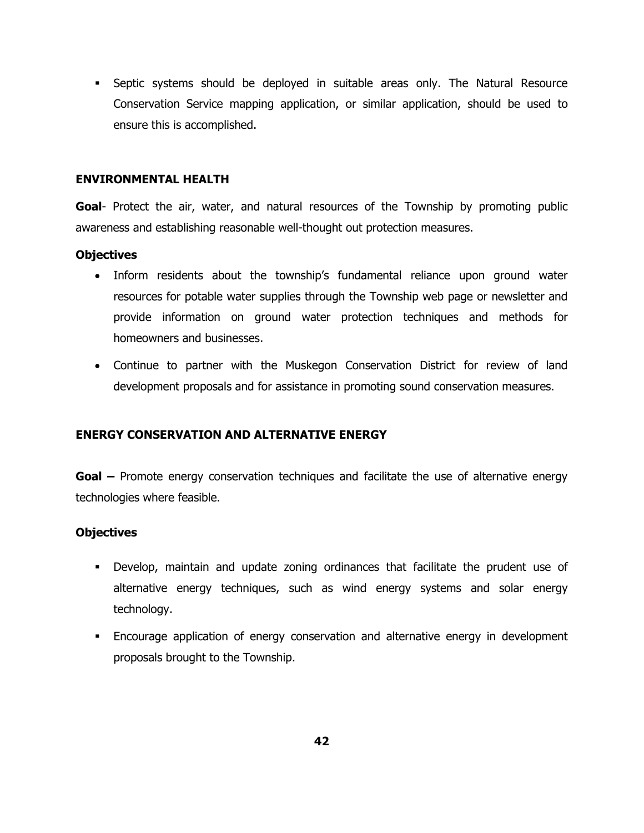Septic systems should be deployed in suitable areas only. The Natural Resource Conservation Service mapping application, or similar application, should be used to ensure this is accomplished.

#### **ENVIRONMENTAL HEALTH**

Goal- Protect the air, water, and natural resources of the Township by promoting public awareness and establishing reasonable well-thought out protection measures.

### **Objectives**

- Inform residents about the township's fundamental reliance upon ground water resources for potable water supplies through the Township web page or newsletter and provide information on ground water protection techniques and methods for homeowners and businesses.
- Continue to partner with the Muskegon Conservation District for review of land development proposals and for assistance in promoting sound conservation measures.

## **ENERGY CONSERVATION AND ALTERNATIVE ENERGY**

**Goal –** Promote energy conservation techniques and facilitate the use of alternative energy technologies where feasible.

## **Objectives**

- Develop, maintain and update zoning ordinances that facilitate the prudent use of alternative energy techniques, such as wind energy systems and solar energy technology.
- Encourage application of energy conservation and alternative energy in development proposals brought to the Township.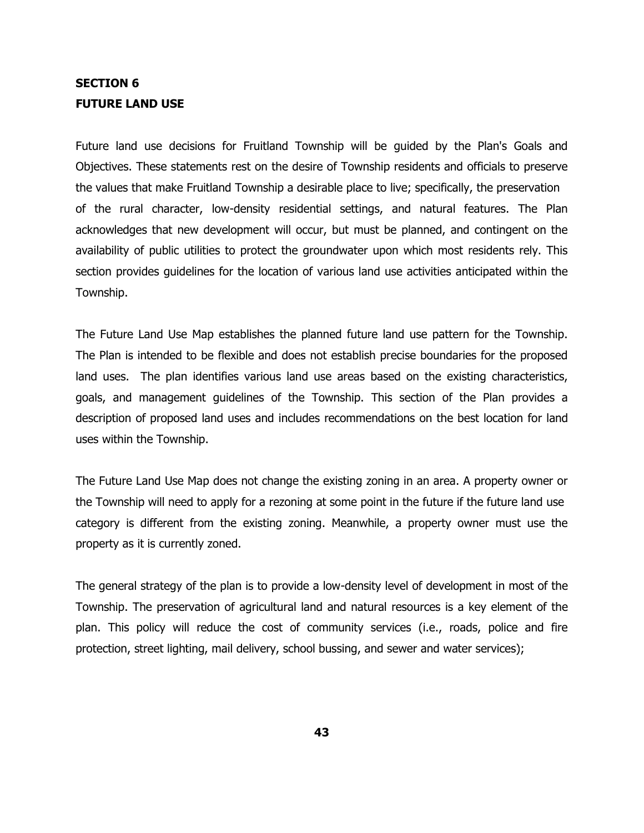## **SECTION 6 FUTURE LAND USE**

Future land use decisions for Fruitland Township will be guided by the Plan's Goals and Objectives. These statements rest on the desire of Township residents and officials to preserve the values that make Fruitland Township a desirable place to live; specifically, the preservation of the rural character, low-density residential settings, and natural features. The Plan acknowledges that new development will occur, but must be planned, and contingent on the availability of public utilities to protect the groundwater upon which most residents rely. This section provides guidelines for the location of various land use activities anticipated within the Township.

The Future Land Use Map establishes the planned future land use pattern for the Township. The Plan is intended to be flexible and does not establish precise boundaries for the proposed land uses. The plan identifies various land use areas based on the existing characteristics, goals, and management guidelines of the Township. This section of the Plan provides a description of proposed land uses and includes recommendations on the best location for land uses within the Township.

The Future Land Use Map does not change the existing zoning in an area. A property owner or the Township will need to apply for a rezoning at some point in the future if the future land use category is different from the existing zoning. Meanwhile, a property owner must use the property as it is currently zoned.

The general strategy of the plan is to provide a low-density level of development in most of the Township. The preservation of agricultural land and natural resources is a key element of the plan. This policy will reduce the cost of community services (i.e., roads, police and fire protection, street lighting, mail delivery, school bussing, and sewer and water services);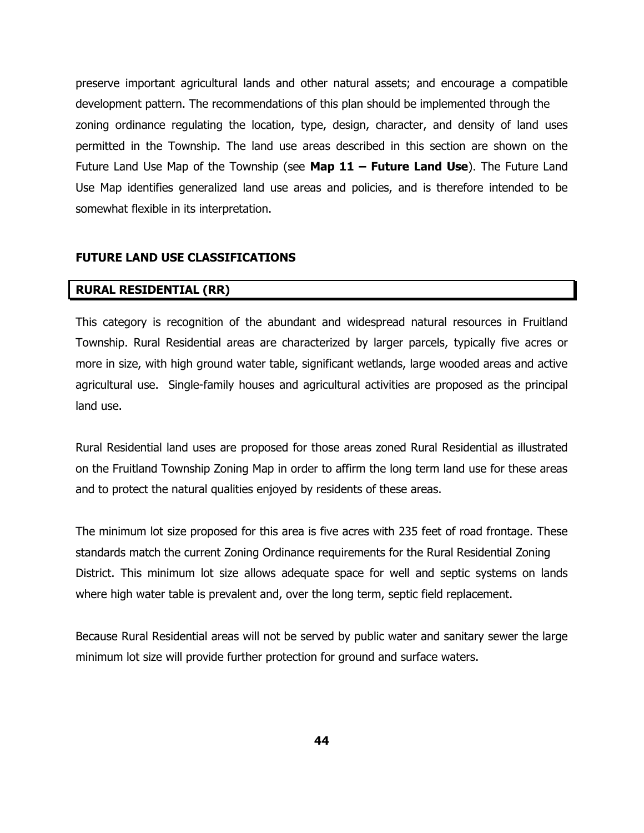preserve important agricultural lands and other natural assets; and encourage a compatible development pattern. The recommendations of this plan should be implemented through the zoning ordinance regulating the location, type, design, character, and density of land uses permitted in the Township. The land use areas described in this section are shown on the Future Land Use Map of the Township (see **Map 11 – Future Land Use**). The Future Land Use Map identifies generalized land use areas and policies, and is therefore intended to be somewhat flexible in its interpretation.

### **FUTURE LAND USE CLASSIFICATIONS**

#### **RURAL RESIDENTIAL (RR)**

This category is recognition of the abundant and widespread natural resources in Fruitland Township. Rural Residential areas are characterized by larger parcels, typically five acres or more in size, with high ground water table, significant wetlands, large wooded areas and active agricultural use. Single-family houses and agricultural activities are proposed as the principal land use.

Rural Residential land uses are proposed for those areas zoned Rural Residential as illustrated on the Fruitland Township Zoning Map in order to affirm the long term land use for these areas and to protect the natural qualities enjoyed by residents of these areas.

The minimum lot size proposed for this area is five acres with 235 feet of road frontage. These standards match the current Zoning Ordinance requirements for the Rural Residential Zoning District. This minimum lot size allows adequate space for well and septic systems on lands where high water table is prevalent and, over the long term, septic field replacement.

Because Rural Residential areas will not be served by public water and sanitary sewer the large minimum lot size will provide further protection for ground and surface waters.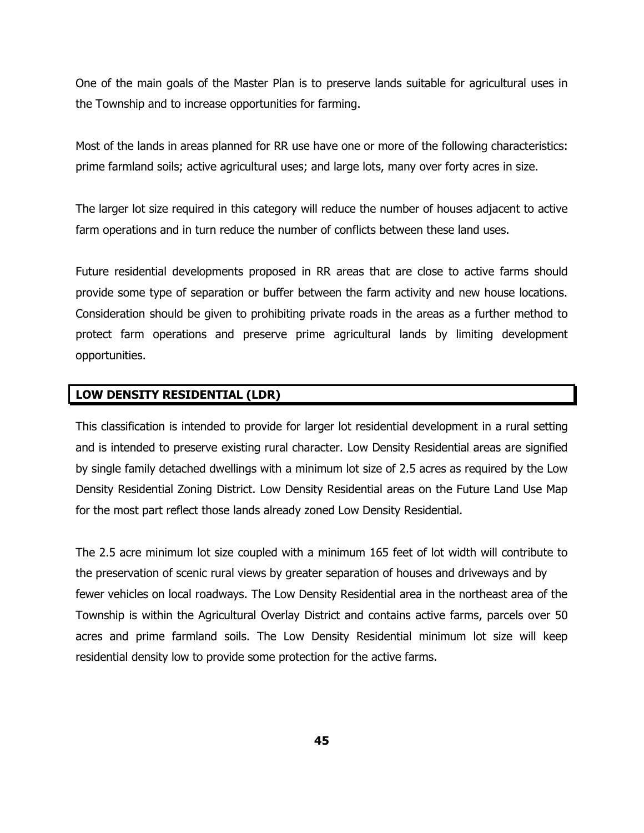One of the main goals of the Master Plan is to preserve lands suitable for agricultural uses in the Township and to increase opportunities for farming.

Most of the lands in areas planned for RR use have one or more of the following characteristics: prime farmland soils; active agricultural uses; and large lots, many over forty acres in size.

The larger lot size required in this category will reduce the number of houses adjacent to active farm operations and in turn reduce the number of conflicts between these land uses.

Future residential developments proposed in RR areas that are close to active farms should provide some type of separation or buffer between the farm activity and new house locations. Consideration should be given to prohibiting private roads in the areas as a further method to protect farm operations and preserve prime agricultural lands by limiting development opportunities.

### **LOW DENSITY RESIDENTIAL (LDR)**

This classification is intended to provide for larger lot residential development in a rural setting and is intended to preserve existing rural character. Low Density Residential areas are signified by single family detached dwellings with a minimum lot size of 2.5 acres as required by the Low Density Residential Zoning District. Low Density Residential areas on the Future Land Use Map for the most part reflect those lands already zoned Low Density Residential.

The 2.5 acre minimum lot size coupled with a minimum 165 feet of lot width will contribute to the preservation of scenic rural views by greater separation of houses and driveways and by fewer vehicles on local roadways. The Low Density Residential area in the northeast area of the Township is within the Agricultural Overlay District and contains active farms, parcels over 50 acres and prime farmland soils. The Low Density Residential minimum lot size will keep residential density low to provide some protection for the active farms.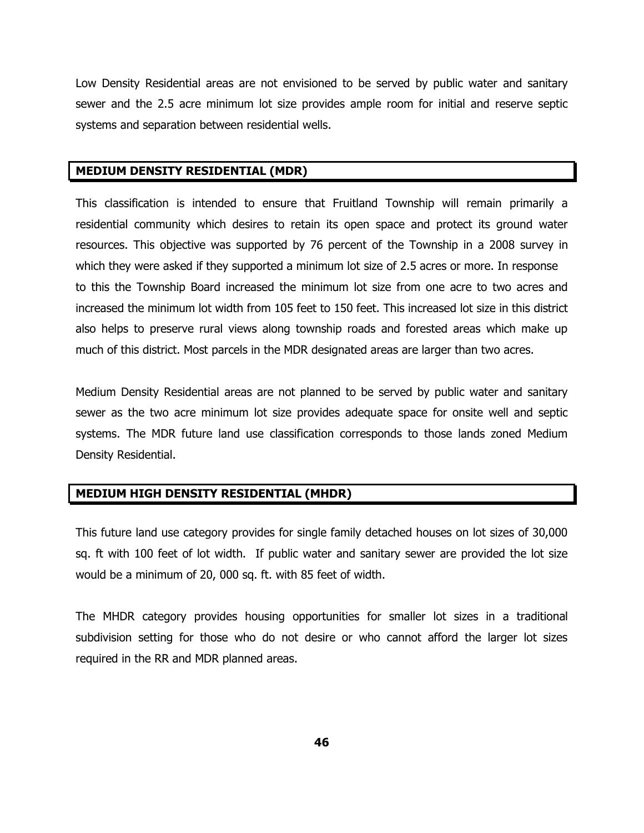Low Density Residential areas are not envisioned to be served by public water and sanitary sewer and the 2.5 acre minimum lot size provides ample room for initial and reserve septic systems and separation between residential wells.

#### **MEDIUM DENSITY RESIDENTIAL (MDR)**

This classification is intended to ensure that Fruitland Township will remain primarily a residential community which desires to retain its open space and protect its ground water resources. This objective was supported by 76 percent of the Township in a 2008 survey in which they were asked if they supported a minimum lot size of 2.5 acres or more. In response to this the Township Board increased the minimum lot size from one acre to two acres and increased the minimum lot width from 105 feet to 150 feet. This increased lot size in this district also helps to preserve rural views along township roads and forested areas which make up much of this district. Most parcels in the MDR designated areas are larger than two acres.

Medium Density Residential areas are not planned to be served by public water and sanitary sewer as the two acre minimum lot size provides adequate space for onsite well and septic systems. The MDR future land use classification corresponds to those lands zoned Medium Density Residential.

## **MEDIUM HIGH DENSITY RESIDENTIAL (MHDR)**

This future land use category provides for single family detached houses on lot sizes of 30,000 sq. ft with 100 feet of lot width. If public water and sanitary sewer are provided the lot size would be a minimum of 20, 000 sq. ft. with 85 feet of width.

The MHDR category provides housing opportunities for smaller lot sizes in a traditional subdivision setting for those who do not desire or who cannot afford the larger lot sizes required in the RR and MDR planned areas.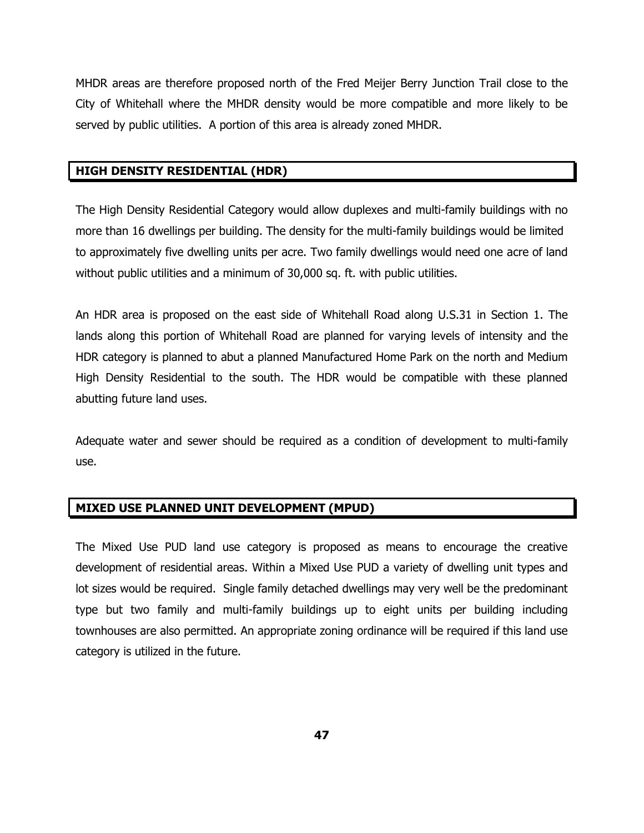MHDR areas are therefore proposed north of the Fred Meijer Berry Junction Trail close to the City of Whitehall where the MHDR density would be more compatible and more likely to be served by public utilities. A portion of this area is already zoned MHDR.

## **HIGH DENSITY RESIDENTIAL (HDR)**

The High Density Residential Category would allow duplexes and multi-family buildings with no more than 16 dwellings per building. The density for the multi-family buildings would be limited to approximately five dwelling units per acre. Two family dwellings would need one acre of land without public utilities and a minimum of 30,000 sq. ft. with public utilities.

An HDR area is proposed on the east side of Whitehall Road along U.S.31 in Section 1. The lands along this portion of Whitehall Road are planned for varying levels of intensity and the HDR category is planned to abut a planned Manufactured Home Park on the north and Medium High Density Residential to the south. The HDR would be compatible with these planned abutting future land uses.

Adequate water and sewer should be required as a condition of development to multi-family use.

## **MIXED USE PLANNED UNIT DEVELOPMENT (MPUD)**

The Mixed Use PUD land use category is proposed as means to encourage the creative development of residential areas. Within a Mixed Use PUD a variety of dwelling unit types and lot sizes would be required. Single family detached dwellings may very well be the predominant type but two family and multi-family buildings up to eight units per building including townhouses are also permitted. An appropriate zoning ordinance will be required if this land use category is utilized in the future.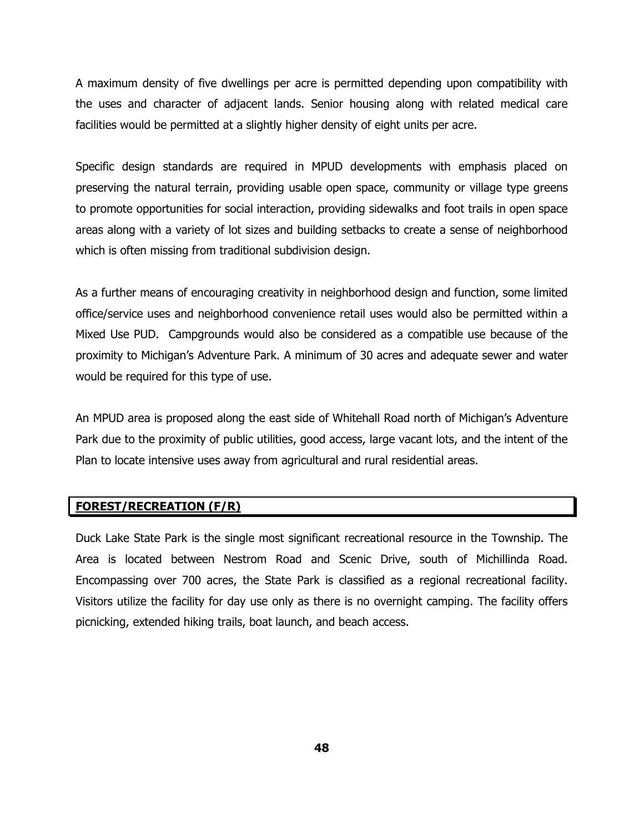A maximum density of five dwellings per acre is permitted depending upon compatibility with the uses and character of adjacent lands. Senior housing along with related medical care facilities would be permitted at a slightly higher density of eight units per acre.

Specific design standards are required in MPUD developments with emphasis placed on preserving the natural terrain, providing usable open space, community or village type greens to promote opportunities for social interaction, providing sidewalks and foot trails in open space areas along with a variety of lot sizes and building setbacks to create a sense of neighborhood which is often missing from traditional subdivision design.

As a further means of encouraging creativity in neighborhood design and function, some limited office/service uses and neighborhood convenience retail uses would also be permitted within a Mixed Use PUD. Campgrounds would also be considered as a compatible use because of the proximity to Michigan's Adventure Park. A minimum of 30 acres and adequate sewer and water would be required for this type of use.

An MPUD area is proposed along the east side of Whitehall Road north of Michigan's Adventure Park due to the proximity of public utilities, good access, large vacant lots, and the intent of the Plan to locate intensive uses away from agricultural and rural residential areas.

## **FOREST/RECREATION (F/R)**

Duck Lake State Park is the single most significant recreational resource in the Township. The Area is located between Nestrom Road and Scenic Drive, south of Michillinda Road. Encompassing over 700 acres, the State Park is classified as a regional recreational facility. Visitors utilize the facility for day use only as there is no overnight camping. The facility offers picnicking, extended hiking trails, boat launch, and beach access.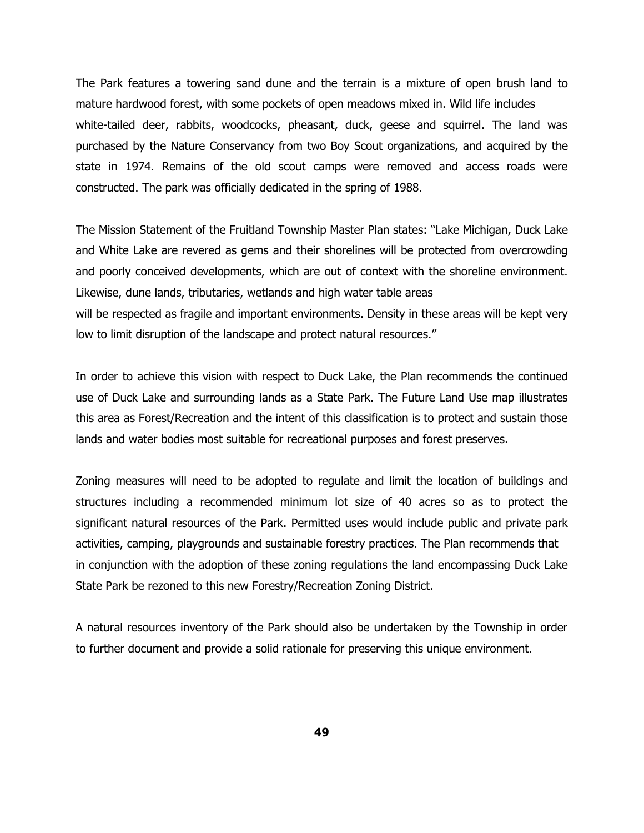The Park features a towering sand dune and the terrain is a mixture of open brush land to mature hardwood forest, with some pockets of open meadows mixed in. Wild life includes white-tailed deer, rabbits, woodcocks, pheasant, duck, geese and squirrel. The land was purchased by the Nature Conservancy from two Boy Scout organizations, and acquired by the state in 1974. Remains of the old scout camps were removed and access roads were constructed. The park was officially dedicated in the spring of 1988.

The Mission Statement of the Fruitland Township Master Plan states: "Lake Michigan, Duck Lake and White Lake are revered as gems and their shorelines will be protected from overcrowding and poorly conceived developments, which are out of context with the shoreline environment. Likewise, dune lands, tributaries, wetlands and high water table areas will be respected as fragile and important environments. Density in these areas will be kept very low to limit disruption of the landscape and protect natural resources."

In order to achieve this vision with respect to Duck Lake, the Plan recommends the continued use of Duck Lake and surrounding lands as a State Park. The Future Land Use map illustrates this area as Forest/Recreation and the intent of this classification is to protect and sustain those lands and water bodies most suitable for recreational purposes and forest preserves.

Zoning measures will need to be adopted to regulate and limit the location of buildings and structures including a recommended minimum lot size of 40 acres so as to protect the significant natural resources of the Park. Permitted uses would include public and private park activities, camping, playgrounds and sustainable forestry practices. The Plan recommends that in conjunction with the adoption of these zoning regulations the land encompassing Duck Lake State Park be rezoned to this new Forestry/Recreation Zoning District.

A natural resources inventory of the Park should also be undertaken by the Township in order to further document and provide a solid rationale for preserving this unique environment.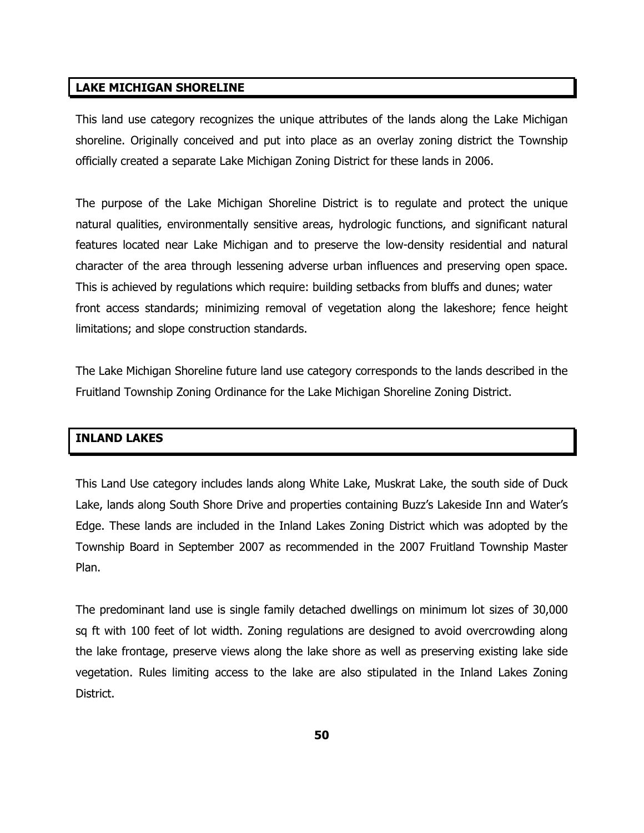#### **LAKE MICHIGAN SHORELINE**

This land use category recognizes the unique attributes of the lands along the Lake Michigan shoreline. Originally conceived and put into place as an overlay zoning district the Township officially created a separate Lake Michigan Zoning District for these lands in 2006.

The purpose of the Lake Michigan Shoreline District is to regulate and protect the unique natural qualities, environmentally sensitive areas, hydrologic functions, and significant natural features located near Lake Michigan and to preserve the low-density residential and natural character of the area through lessening adverse urban influences and preserving open space. This is achieved by regulations which require: building setbacks from bluffs and dunes; water front access standards; minimizing removal of vegetation along the lakeshore; fence height limitations; and slope construction standards.

The Lake Michigan Shoreline future land use category corresponds to the lands described in the Fruitland Township Zoning Ordinance for the Lake Michigan Shoreline Zoning District.

### **INLAND LAKES**

This Land Use category includes lands along White Lake, Muskrat Lake, the south side of Duck Lake, lands along South Shore Drive and properties containing Buzz's Lakeside Inn and Water's Edge. These lands are included in the Inland Lakes Zoning District which was adopted by the Township Board in September 2007 as recommended in the 2007 Fruitland Township Master Plan.

The predominant land use is single family detached dwellings on minimum lot sizes of 30,000 sq ft with 100 feet of lot width. Zoning regulations are designed to avoid overcrowding along the lake frontage, preserve views along the lake shore as well as preserving existing lake side vegetation. Rules limiting access to the lake are also stipulated in the Inland Lakes Zoning District.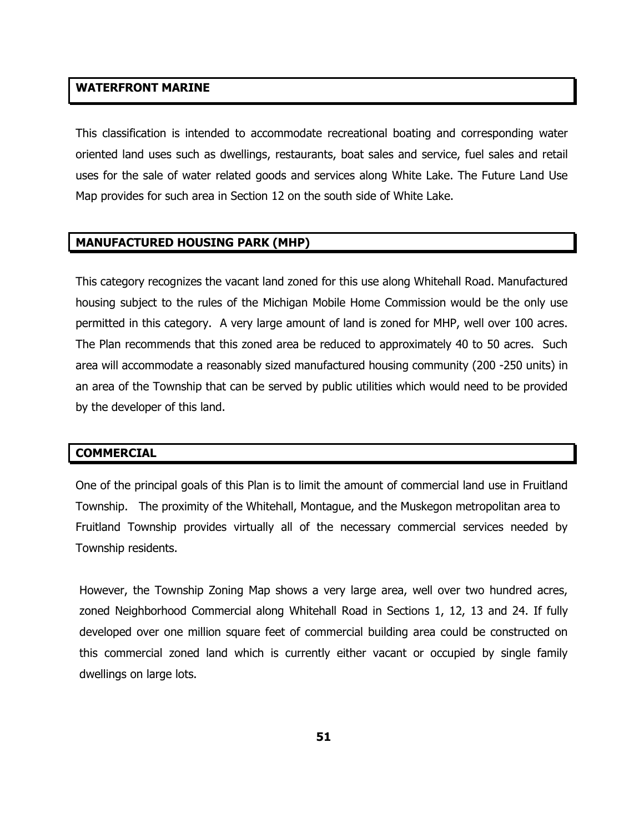#### **WATERFRONT MARINE**

This classification is intended to accommodate recreational boating and corresponding water oriented land uses such as dwellings, restaurants, boat sales and service, fuel sales and retail uses for the sale of water related goods and services along White Lake. The Future Land Use Map provides for such area in Section 12 on the south side of White Lake.

#### **MANUFACTURED HOUSING PARK (MHP)**

This category recognizes the vacant land zoned for this use along Whitehall Road. Manufactured housing subject to the rules of the Michigan Mobile Home Commission would be the only use permitted in this category. A very large amount of land is zoned for MHP, well over 100 acres. The Plan recommends that this zoned area be reduced to approximately 40 to 50 acres. Such area will accommodate a reasonably sized manufactured housing community (200 -250 units) in an area of the Township that can be served by public utilities which would need to be provided by the developer of this land.

#### **COMMERCIAL**

One of the principal goals of this Plan is to limit the amount of commercial land use in Fruitland Township. The proximity of the Whitehall, Montague, and the Muskegon metropolitan area to Fruitland Township provides virtually all of the necessary commercial services needed by Township residents.

However, the Township Zoning Map shows a very large area, well over two hundred acres, zoned Neighborhood Commercial along Whitehall Road in Sections 1, 12, 13 and 24. If fully developed over one million square feet of commercial building area could be constructed on this commercial zoned land which is currently either vacant or occupied by single family dwellings on large lots.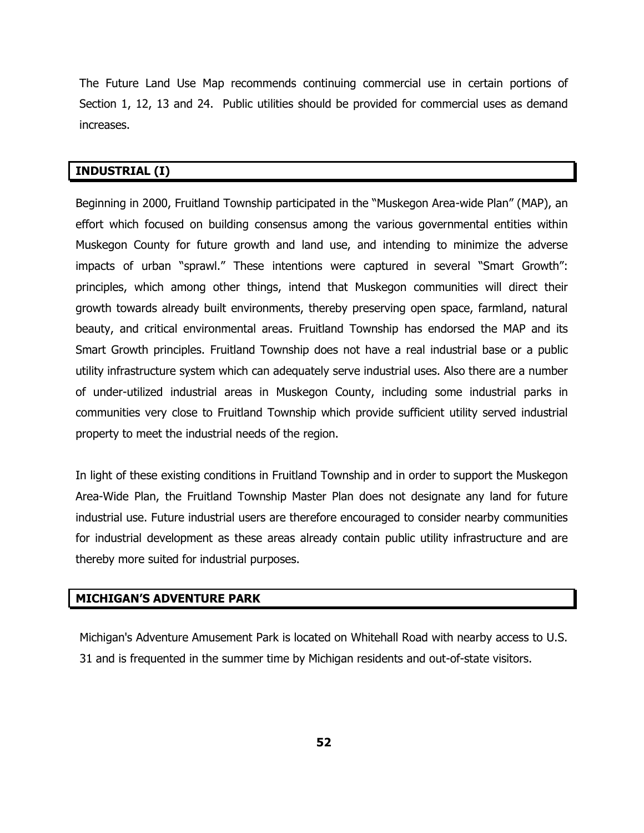The Future Land Use Map recommends continuing commercial use in certain portions of Section 1, 12, 13 and 24. Public utilities should be provided for commercial uses as demand increases.

#### **INDUSTRIAL (I)**

Beginning in 2000, Fruitland Township participated in the "Muskegon Area-wide Plan" (MAP), an effort which focused on building consensus among the various governmental entities within Muskegon County for future growth and land use, and intending to minimize the adverse impacts of urban "sprawl." These intentions were captured in several "Smart Growth": principles, which among other things, intend that Muskegon communities will direct their growth towards already built environments, thereby preserving open space, farmland, natural beauty, and critical environmental areas. Fruitland Township has endorsed the MAP and its Smart Growth principles. Fruitland Township does not have a real industrial base or a public utility infrastructure system which can adequately serve industrial uses. Also there are a number of under-utilized industrial areas in Muskegon County, including some industrial parks in communities very close to Fruitland Township which provide sufficient utility served industrial property to meet the industrial needs of the region.

In light of these existing conditions in Fruitland Township and in order to support the Muskegon Area-Wide Plan, the Fruitland Township Master Plan does not designate any land for future industrial use. Future industrial users are therefore encouraged to consider nearby communities for industrial development as these areas already contain public utility infrastructure and are thereby more suited for industrial purposes.

### **MICHIGAN'S ADVENTURE PARK**

Michigan's Adventure Amusement Park is located on Whitehall Road with nearby access to U.S. 31 and is frequented in the summer time by Michigan residents and out-of-state visitors.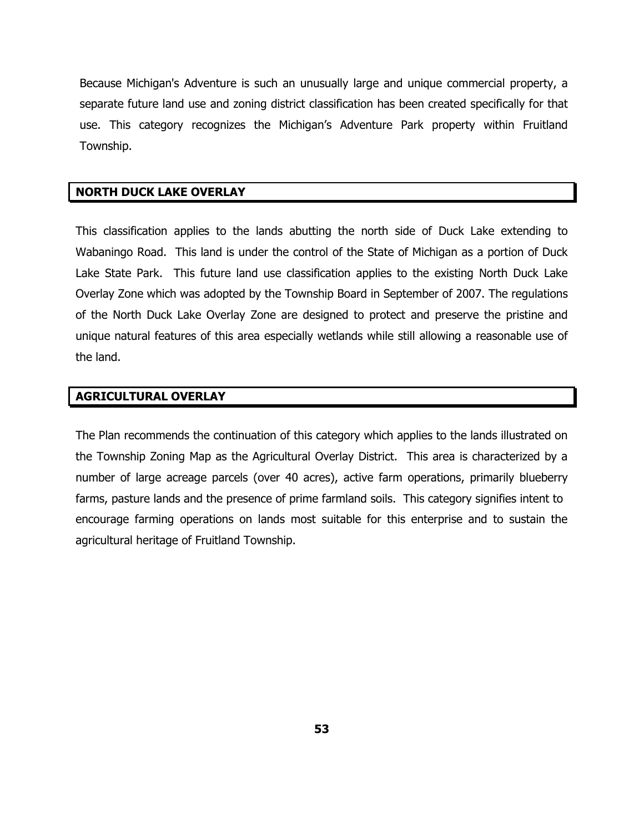Because Michigan's Adventure is such an unusually large and unique commercial property, a separate future land use and zoning district classification has been created specifically for that use. This category recognizes the Michigan's Adventure Park property within Fruitland Township.

#### **NORTH DUCK LAKE OVERLAY**

This classification applies to the lands abutting the north side of Duck Lake extending to Wabaningo Road. This land is under the control of the State of Michigan as a portion of Duck Lake State Park. This future land use classification applies to the existing North Duck Lake Overlay Zone which was adopted by the Township Board in September of 2007. The regulations of the North Duck Lake Overlay Zone are designed to protect and preserve the pristine and unique natural features of this area especially wetlands while still allowing a reasonable use of the land.

#### **AGRICULTURAL OVERLAY**

The Plan recommends the continuation of this category which applies to the lands illustrated on the Township Zoning Map as the Agricultural Overlay District. This area is characterized by a number of large acreage parcels (over 40 acres), active farm operations, primarily blueberry farms, pasture lands and the presence of prime farmland soils. This category signifies intent to encourage farming operations on lands most suitable for this enterprise and to sustain the agricultural heritage of Fruitland Township.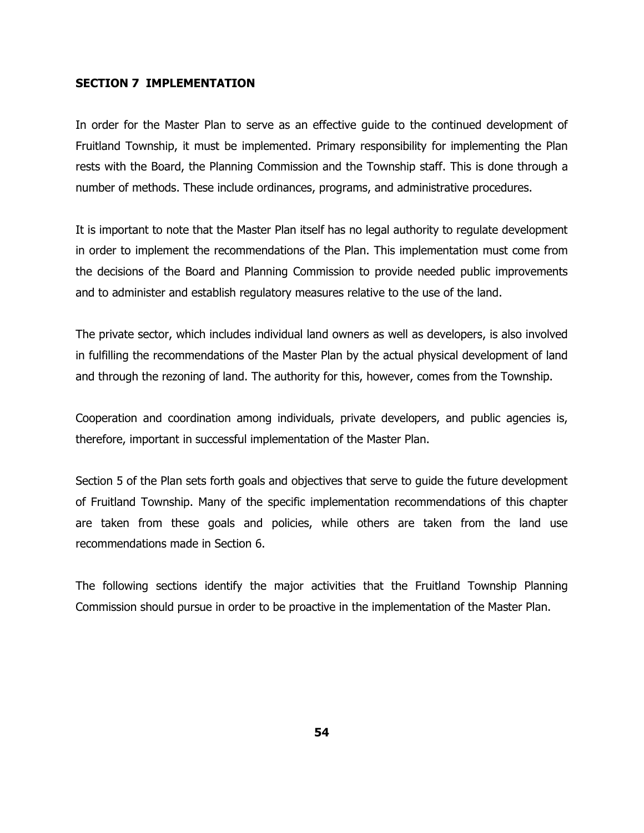#### **SECTION 7 IMPLEMENTATION**

In order for the Master Plan to serve as an effective guide to the continued development of Fruitland Township, it must be implemented. Primary responsibility for implementing the Plan rests with the Board, the Planning Commission and the Township staff. This is done through a number of methods. These include ordinances, programs, and administrative procedures.

It is important to note that the Master Plan itself has no legal authority to regulate development in order to implement the recommendations of the Plan. This implementation must come from the decisions of the Board and Planning Commission to provide needed public improvements and to administer and establish regulatory measures relative to the use of the land.

The private sector, which includes individual land owners as well as developers, is also involved in fulfilling the recommendations of the Master Plan by the actual physical development of land and through the rezoning of land. The authority for this, however, comes from the Township.

Cooperation and coordination among individuals, private developers, and public agencies is, therefore, important in successful implementation of the Master Plan.

Section 5 of the Plan sets forth goals and objectives that serve to guide the future development of Fruitland Township. Many of the specific implementation recommendations of this chapter are taken from these goals and policies, while others are taken from the land use recommendations made in Section 6.

The following sections identify the major activities that the Fruitland Township Planning Commission should pursue in order to be proactive in the implementation of the Master Plan.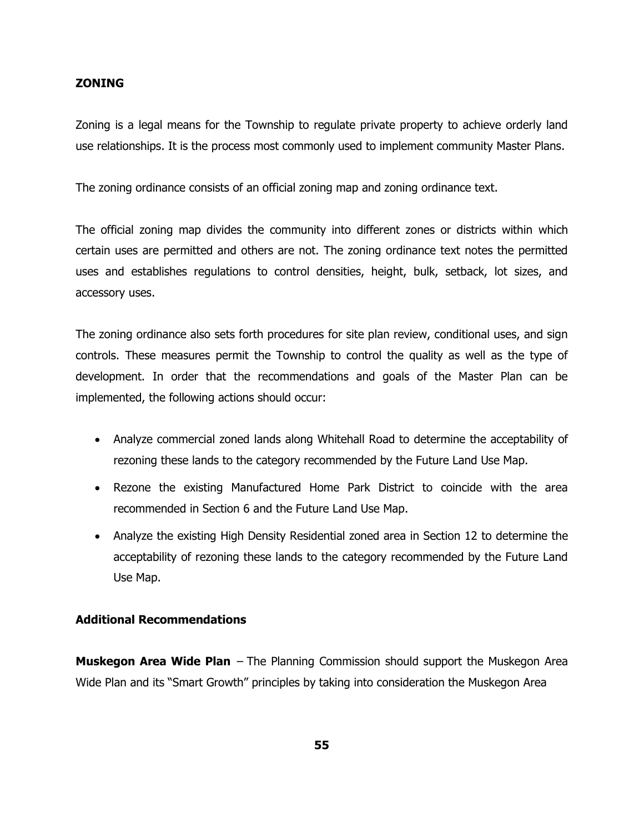#### **ZONING**

Zoning is a legal means for the Township to regulate private property to achieve orderly land use relationships. It is the process most commonly used to implement community Master Plans.

The zoning ordinance consists of an official zoning map and zoning ordinance text.

The official zoning map divides the community into different zones or districts within which certain uses are permitted and others are not. The zoning ordinance text notes the permitted uses and establishes regulations to control densities, height, bulk, setback, lot sizes, and accessory uses.

The zoning ordinance also sets forth procedures for site plan review, conditional uses, and sign controls. These measures permit the Township to control the quality as well as the type of development. In order that the recommendations and goals of the Master Plan can be implemented, the following actions should occur:

- Analyze commercial zoned lands along Whitehall Road to determine the acceptability of rezoning these lands to the category recommended by the Future Land Use Map.
- Rezone the existing Manufactured Home Park District to coincide with the area recommended in Section 6 and the Future Land Use Map.
- Analyze the existing High Density Residential zoned area in Section 12 to determine the acceptability of rezoning these lands to the category recommended by the Future Land Use Map.

#### **Additional Recommendations**

**Muskegon Area Wide Plan** – The Planning Commission should support the Muskegon Area Wide Plan and its "Smart Growth" principles by taking into consideration the Muskegon Area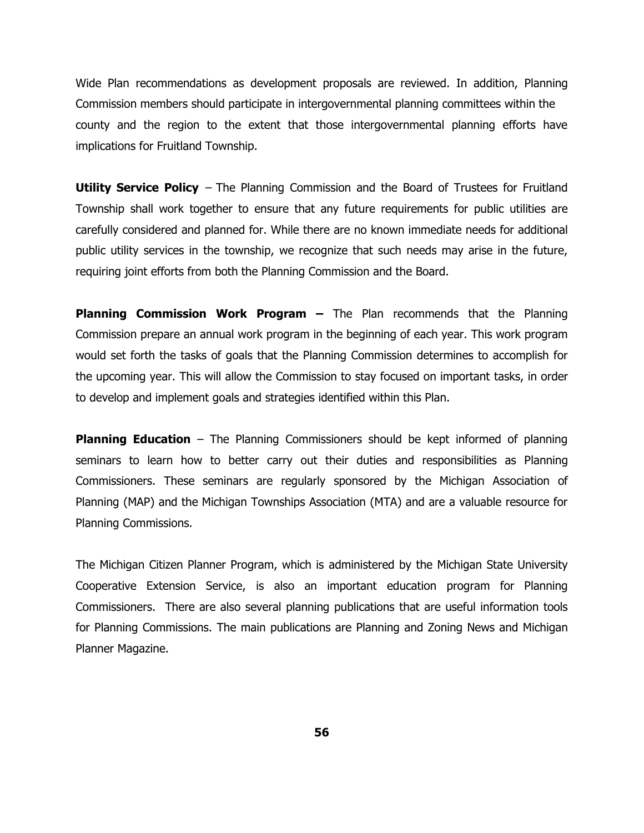Wide Plan recommendations as development proposals are reviewed. In addition, Planning Commission members should participate in intergovernmental planning committees within the county and the region to the extent that those intergovernmental planning efforts have implications for Fruitland Township.

**Utility Service Policy** – The Planning Commission and the Board of Trustees for Fruitland Township shall work together to ensure that any future requirements for public utilities are carefully considered and planned for. While there are no known immediate needs for additional public utility services in the township, we recognize that such needs may arise in the future, requiring joint efforts from both the Planning Commission and the Board.

**Planning Commission Work Program –** The Plan recommends that the Planning Commission prepare an annual work program in the beginning of each year. This work program would set forth the tasks of goals that the Planning Commission determines to accomplish for the upcoming year. This will allow the Commission to stay focused on important tasks, in order to develop and implement goals and strategies identified within this Plan.

**Planning Education** – The Planning Commissioners should be kept informed of planning seminars to learn how to better carry out their duties and responsibilities as Planning Commissioners. These seminars are regularly sponsored by the Michigan Association of Planning (MAP) and the Michigan Townships Association (MTA) and are a valuable resource for Planning Commissions.

The Michigan Citizen Planner Program, which is administered by the Michigan State University Cooperative Extension Service, is also an important education program for Planning Commissioners. There are also several planning publications that are useful information tools for Planning Commissions. The main publications are Planning and Zoning News and Michigan Planner Magazine.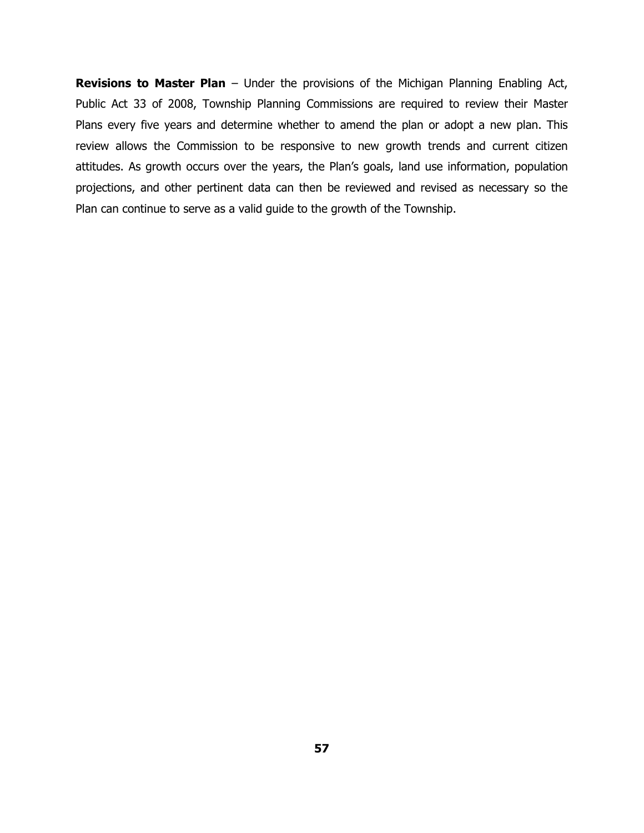**Revisions to Master Plan** – Under the provisions of the Michigan Planning Enabling Act, Public Act 33 of 2008, Township Planning Commissions are required to review their Master Plans every five years and determine whether to amend the plan or adopt a new plan. This review allows the Commission to be responsive to new growth trends and current citizen attitudes. As growth occurs over the years, the Plan's goals, land use information, population projections, and other pertinent data can then be reviewed and revised as necessary so the Plan can continue to serve as a valid guide to the growth of the Township.